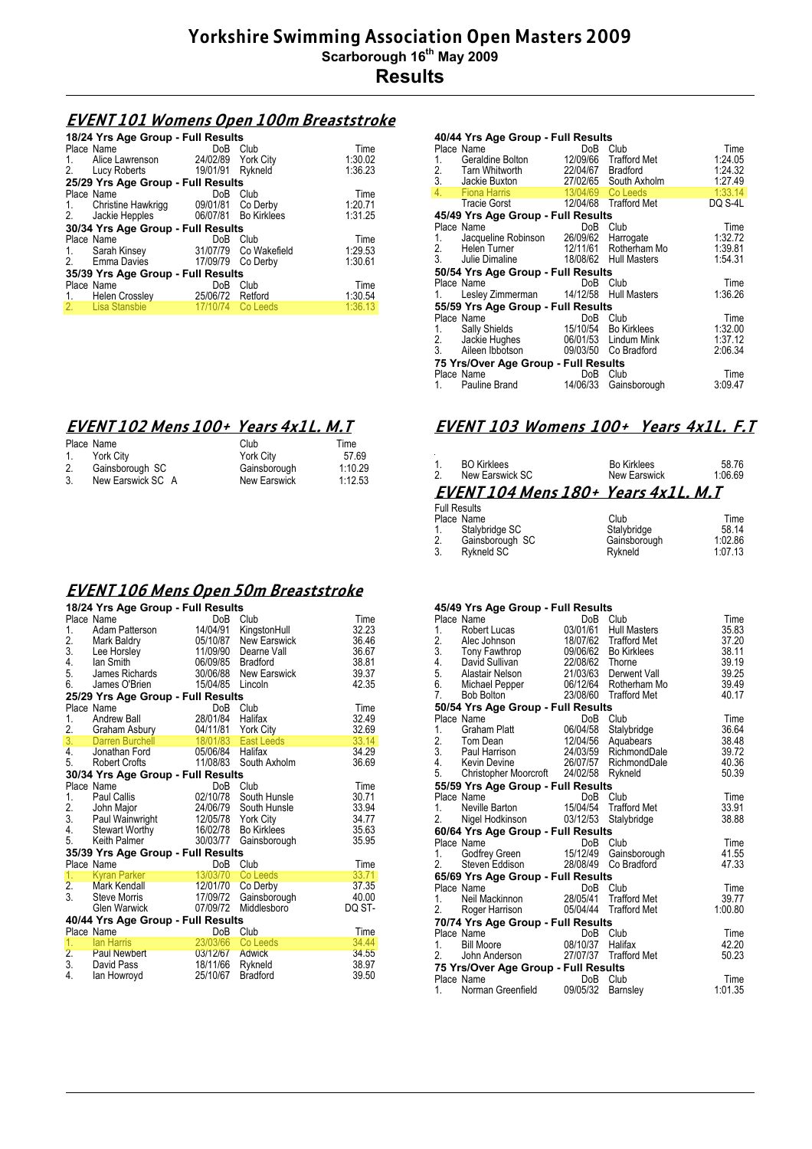## **EVENT 101 Womens Open 100m Breaststroke**

| 18/24 Yrs Age Group - Full Results      |                    |                       |         |  |  |
|-----------------------------------------|--------------------|-----------------------|---------|--|--|
| Place Name                              | DoB                | Club                  | Time    |  |  |
| Alice Lawrenson<br>1.                   | 24/02/89 York City |                       | 1:30.02 |  |  |
| 2. Lucy Roberts 19/01/91                |                    | Rykneld               | 1:36.23 |  |  |
| 25/29 Yrs Age Group - Full Results      |                    |                       |         |  |  |
| Place Name                              | DoB                | Club                  | Time    |  |  |
| 1. Christine Hawkrigg 09/01/81 Co Derby |                    |                       | 1:20.71 |  |  |
| 2. Jackie Hepples 06/07/81 Bo Kirklees  |                    |                       | 1:31.25 |  |  |
| 30/34 Yrs Age Group - Full Results      |                    |                       |         |  |  |
| Place Name                              | DoB                | Club                  | Time    |  |  |
| 1. Sarah Kinsey                         |                    | 31/07/79 Co Wakefield | 1:29.53 |  |  |
| 2. Emma Davies 17/09/79 Co Derby        |                    |                       | 1:30.61 |  |  |
| 35/39 Yrs Age Group - Full Results      |                    |                       |         |  |  |
| Place Name                              | DoB                | Club                  | Time    |  |  |
| 1. Helen Crossley 25/06/72 Retford      |                    |                       | 1:30.54 |  |  |
| 2.<br>Lisa Stansbie                     | 17/10/74           | Co Leeds              | 1:36.13 |  |  |

# **EVENT 102 Mens 100+ Years 4x1L. M.T**

|    | Place Name        | Club                | Time    |
|----|-------------------|---------------------|---------|
| 1. | York City         | <b>York City</b>    | 57.69   |
| 2. | Gainsborough SC   | Gainsborough        | 1:10.29 |
| 3. | New Earswick SC A | <b>New Earswick</b> | 1:12.53 |

#### **EVENT 106 Mens Open 50m Breaststroke**

|                                    | 18/24 Yrs Age Group - Full Results                                                                              |                      |                                                                                             |        |  |
|------------------------------------|-----------------------------------------------------------------------------------------------------------------|----------------------|---------------------------------------------------------------------------------------------|--------|--|
|                                    | Place Name                                                                                                      | DoB                  | Club                                                                                        | Time   |  |
| 1.                                 | Adam Patterson                                                                                                  | 14/04/91             | KingstonHull                                                                                | 32.23  |  |
| $\frac{2}{3}$ .                    | Mark Baldry<br>Lee Horsley<br>lan Smith                                                                         |                      |                                                                                             | 36.46  |  |
|                                    |                                                                                                                 |                      |                                                                                             | 36.67  |  |
| 4.                                 |                                                                                                                 |                      |                                                                                             | 38.81  |  |
| 5.                                 | James Richards                                                                                                  |                      | 05/10/87 New Earswick<br>11/09/90 Dearne Vall<br>06/09/85 Bradford<br>30/06/88 New Earswick | 39.37  |  |
| 6.                                 | James O'Brien                                                                                                   | 15/04/85             | Lincoln                                                                                     | 42.35  |  |
|                                    | 25/29 Yrs Age Group - Full Results                                                                              |                      |                                                                                             |        |  |
|                                    | Place Name                                                                                                      |                      | DoB Club                                                                                    | Time   |  |
|                                    |                                                                                                                 |                      |                                                                                             | 32.49  |  |
|                                    |                                                                                                                 |                      |                                                                                             | 32.69  |  |
|                                    | 1. Andrew Ball 28/01/84 Halifax<br>2. Graham Asbury 04/11/81 York City<br>3. Darren Burchell 18/01/83 East Leed |                      | East Leeds                                                                                  | 33.14  |  |
| 4.                                 | Jonathan Ford                                                                                                   | 05/06/84 Halifax     |                                                                                             | 34.29  |  |
|                                    | 5. Robert Crofts                                                                                                | 11/08/83             | South Axholm                                                                                | 36.69  |  |
|                                    | 30/34 Yrs Age Group - Full Results                                                                              |                      |                                                                                             |        |  |
|                                    | Place Name                                                                                                      |                      | DoB Club                                                                                    | Time   |  |
| 1.                                 | <b>Paul Callis</b>                                                                                              | 02/10/78             | South Hunsle                                                                                | 30.71  |  |
|                                    |                                                                                                                 | 02/10/78<br>24/06/79 | South Hunsle                                                                                | 33.94  |  |
|                                    |                                                                                                                 |                      |                                                                                             | 34.77  |  |
| 4.                                 |                                                                                                                 |                      | <b>Bo Kirklees</b>                                                                          | 35.63  |  |
| 5.                                 | Keith Palmer                                                                                                    | 30/03/77             | Gainsborough                                                                                | 35.95  |  |
|                                    | 35/39 Yrs Age Group - Full Results                                                                              |                      |                                                                                             |        |  |
|                                    | Place Name                                                                                                      | DoB                  | Club                                                                                        | Time   |  |
| 1.                                 | <b>External Parker Reserves</b>                                                                                 | 13/03/70             | Co Leeds                                                                                    | 33.71  |  |
| $\frac{2}{3}$ .                    | Mark Kendall                                                                                                    | 12/01/70             | Co Derby                                                                                    | 37.35  |  |
|                                    | Steve Morris 17/09/72                                                                                           |                      | Gainsborough                                                                                | 40.00  |  |
|                                    | Glen Warwick                                                                                                    | 07/09/72             | Middlesboro                                                                                 | DQ ST- |  |
| 40/44 Yrs Age Group - Full Results |                                                                                                                 |                      |                                                                                             |        |  |
|                                    | Place Name                                                                                                      | DoB                  | Club                                                                                        | Time   |  |
| 1.                                 | lan Harris                                                                                                      | 23/03/66             | Co Leeds                                                                                    | 34.44  |  |
|                                    | 2. Paul Newbert                                                                                                 | 03/12/67             | <b>Adwick</b>                                                                               | 34.55  |  |
| 3.                                 | David Pass                                                                                                      | 18/11/66             | Rykneld                                                                                     | 38.97  |  |
| 4.                                 | lan Howroyd                                                                                                     | 25/10/67             | <b>Bradford</b>                                                                             | 39.50  |  |

#### **40/44 Yrs Age Group - Full Results**

|    | Place Name                              | DoB      | Club                  | Time    |
|----|-----------------------------------------|----------|-----------------------|---------|
| 1. | Geraldine Bolton 12/09/66 Trafford Met  |          |                       | 1.24.05 |
|    | 2. Tarn Whitworth                       |          | 22/04/67 Bradford     | 1.24.32 |
|    | 3. Jackie Buxton 27/02/65 South Axholm  |          |                       | 1.27.49 |
|    | 4. Fiona Harris Particular Contractor   |          | 13/04/69 Co Leeds     | 1:33.14 |
|    | Tracie Gorst                            |          | 12/04/68 Trafford Met | DQ S-4L |
|    | 45/49 Yrs Age Group - Full Results      |          |                       |         |
|    | Place Name                              | DoB      | Club                  | Time    |
| 1. | Jacqueline Robinson 26/09/62            |          | Harrogate             | 1:32.72 |
|    | 2. Helen Turner                         |          | 12/11/61 Rotherham Mo | 1:39.81 |
|    | 3. Julie Dimaline 18/08/62 Hull Masters |          |                       | 1:54.31 |
|    | 50/54 Yrs Age Group - Full Results      |          |                       |         |
|    | Place Name                              | DoB      | Club                  | Time    |
| 1. | Lesley Zimmerman 14/12/58 Hull Masters  |          |                       | 1:36.26 |
|    | 55/59 Yrs Age Group - Full Results      |          |                       |         |
|    | Place Name                              | DoB      | Club                  | Time    |
|    | 1. Sally Shields                        |          | 15/10/54 Bo Kirklees  | 1:32.00 |
|    | 2. Jackie Hughes                        |          | 06/01/53 Lindum Mink  | 1:37.12 |
|    | 3. Aileen Ibbotson                      |          | 09/03/50 Co Bradford  | 2:06.34 |
|    | 75 Yrs/Over Age Group - Full Results    |          |                       |         |
|    | Place Name                              | DoB      | Club                  | Time    |
| 1. | Pauline Brand                           | 14/06/33 | Gainsborough          | 3:09.47 |
|    |                                         |          |                       |         |

### **EVENT 103 Womens 100+ Years 4x1L. F.T**

# 1. BO Kirklees Bo Kirklees 58.76 2. New Earswick SC New Earswick 1:06.69 **EVENT 104 Mens 180+ Years 4x1L. M.T**

|    | <b>Full Results</b> |              |         |
|----|---------------------|--------------|---------|
|    | Place Name          | Club         | Time    |
| 1. | Stalybridge SC      | Stalvbridge  | 58.14   |
| 2. | Gainsborough SC     | Gainsborough | 1:02.86 |
| 3. | Rykneld SC          | Rvkneld      | 1:07.13 |

|    | 45/49 Yrs Age Group - Full Results               |                  |                       |         |  |  |
|----|--------------------------------------------------|------------------|-----------------------|---------|--|--|
|    | Place Name                                       | DoB              | Club                  | Time    |  |  |
| 1. | Robert Lucas                                     | 03/01/61         | <b>Hull Masters</b>   | 35.83   |  |  |
| 2. | Alec Johnson                                     |                  | 18/07/62 Trafford Met | 37.20   |  |  |
|    | 3. Tony Fawthrop                                 |                  | 09/06/62 Bo Kirklees  | 38.11   |  |  |
|    | 4. David Sullivan                                | 22/08/62 Thorne  |                       | 39.19   |  |  |
|    | 5. Alastair Nelson 21/03/63 Derwent Vall         |                  |                       | 39.25   |  |  |
|    | 5. Hidsian Noter.<br>6. Michael Pepper           |                  | 06/12/64 Rotherham Mo | 39.49   |  |  |
| 7. | Bob Bolton                                       |                  | 23/08/60 Trafford Met | 40.17   |  |  |
|    | 50/54 Yrs Age Group - Full Results               |                  |                       |         |  |  |
|    | Place Name                                       |                  | DoB Club              | Time    |  |  |
| 1. | Graham Platt                                     | 06/04/58         | Stalybridge           | 36.64   |  |  |
|    | 2. Tom Dean                                      | 12/04/56         | Aquabears             | 38.48   |  |  |
|    | 3. Paul Harrison 24/03/59 RichmondDale           |                  |                       | 39.72   |  |  |
|    | 4. Kevin Devine 26/07/57 RichmondDale            |                  |                       | 40.36   |  |  |
| 5. | Christopher Moorcroft 24/02/58                   |                  | Rykneld               | 50.39   |  |  |
|    | 55/59 Yrs Age Group - Full Results               |                  |                       |         |  |  |
|    | Place Name                                       |                  | DoB Club              | Time    |  |  |
| 1. | Neville Barton                                   |                  | 15/04/54 Trafford Met | 33.91   |  |  |
| 2. | Nigel Hodkinson 03/12/53                         |                  | Stalybridge           | 38.88   |  |  |
|    | 60/64 Yrs Age Group - Full Results               |                  |                       |         |  |  |
|    | Place Name                                       |                  | DoB Club              | Time    |  |  |
| 1. | Godfrey Green 15/12/49 Gainsborough              |                  |                       | 41.55   |  |  |
| 2. | Steven Eddison                                   |                  | 28/08/49 Co Bradford  | 47.33   |  |  |
|    | 65/69 Yrs Age Group - Full Results               |                  |                       |         |  |  |
|    | Place Name                                       | DoB              | Club                  | Time    |  |  |
| 1. | Neil Mackinnon                                   |                  | 28/05/41 Trafford Met | 39.77   |  |  |
| 2. | Roger Harrison 05/04/44 Trafford Met             |                  |                       | 1:00.80 |  |  |
|    |                                                  |                  |                       |         |  |  |
|    | 70/74 Yrs Age Group - Full Results<br>Place Name |                  | DoB Club              | Time    |  |  |
| 1. | <b>Bill Moore</b>                                | 08/10/37 Halifax |                       | 42.20   |  |  |
| 2. | John Anderson                                    |                  | 27/07/37 Trafford Met | 50.23   |  |  |
|    |                                                  |                  |                       |         |  |  |
|    | 75 Yrs/Over Age Group - Full Results             |                  |                       |         |  |  |
|    | Place Name                                       | DoB              | Club                  | Time    |  |  |
| 1. | Norman Greenfield                                | 09/05/32         | Barnsley              | 1:01.35 |  |  |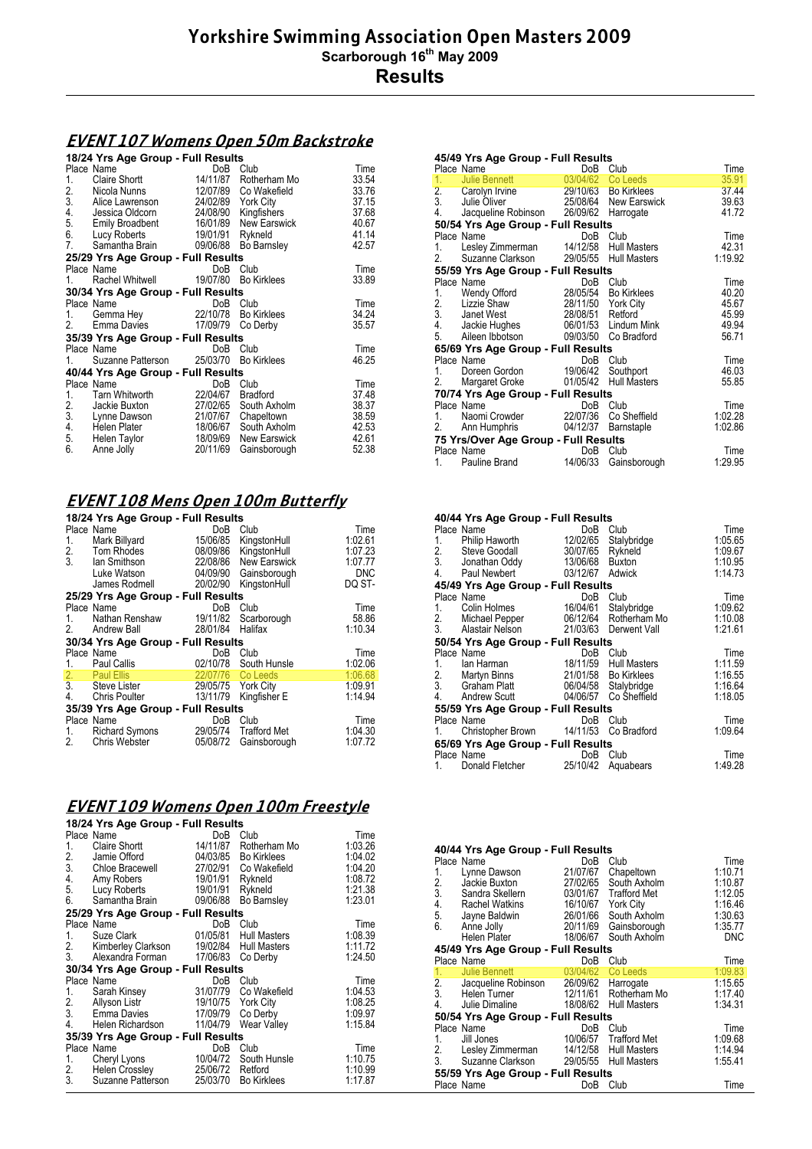# **EVENT 107 Womens Open 50m Backstroke**

|                   | 18/24 Yrs Age Group - Full Results                                 |          |                    |       |  |
|-------------------|--------------------------------------------------------------------|----------|--------------------|-------|--|
|                   | Place Name                                                         | DoB      | Club               | Time  |  |
| 1.                | Claire Shortt                                                      | 14/11/87 | Rotherham Mo       | 33.54 |  |
|                   | 2. Nicola Nunns<br>3. Alice Lawrenson                              | 12/07/89 | Co Wakefield       | 33.76 |  |
|                   |                                                                    | 24/02/89 | <b>York City</b>   | 37.15 |  |
|                   |                                                                    | 24/08/90 | Kingfishers        | 37.68 |  |
|                   | 4. Jessica Oldcorn<br>5. Emily Broadbent<br><b>Emily Broadbent</b> | 16/01/89 | New Earswick       | 40.67 |  |
|                   | 6. Lucy Roberts                                                    | 19/01/91 | Rykneld            | 41.14 |  |
| 7.                | Samantha Brain                                                     | 09/06/88 | Bo Barnsley        | 42.57 |  |
|                   | 25/29 Yrs Age Group - Full Results                                 |          |                    |       |  |
|                   | Place Name                                                         | DoB      | Club               | Time  |  |
| 1.                | Rachel Whitwell                                                    | 19/07/80 | <b>Bo Kirklees</b> | 33.89 |  |
|                   | 30/34 Yrs Age Group - Full Results                                 |          |                    |       |  |
|                   | Place Name                                                         | DoB      | Club               | Time  |  |
| 1.                | Gemma Hey                                                          | 22/10/78 | <b>Bo Kirklees</b> | 34.24 |  |
| 2.                | Emma Davies                                                        | 17/09/79 | Co Derby           | 35.57 |  |
|                   | 35/39 Yrs Age Group - Full Results                                 |          |                    |       |  |
|                   | Place Name                                                         | DoB      | Club               | Time  |  |
| 1. $\blacksquare$ | Suzanne Patterson 25/03/70                                         |          | <b>Bo Kirklees</b> | 46.25 |  |
|                   | 40/44 Yrs Age Group - Full Results                                 |          |                    |       |  |
|                   | Place Name                                                         | DoB      | Club               | Time  |  |
| 1.                | Tarn Whitworth                                                     | 22/04/67 | <b>Bradford</b>    | 37.48 |  |
| 2.<br>3.          | Jackie Buxton                                                      | 27/02/65 | South Axholm       | 38.37 |  |
|                   | Lynne Dawson                                                       | 21/07/67 | Chapeltown         | 38.59 |  |
| 4.                | Helen Plater                                                       | 18/06/67 | South Axholm       | 42.53 |  |
| 5.                | Helen Taylor                                                       | 18/09/69 | New Earswick       | 42.61 |  |
| 6.                | Anne Jolly                                                         | 20/11/69 | Gainsborough       | 52.38 |  |

# **EVENT 108 Mens Open 100m Butterfly**

|    | 18/24 Yrs Age Group - Full Results |                    |                       |            |  |  |
|----|------------------------------------|--------------------|-----------------------|------------|--|--|
|    | Place Name                         | DoB                | Club                  | Time       |  |  |
| 1. | Mark Billyard                      | 15/06/85           | KingstonHull          | 1:02.61    |  |  |
|    | 2. Tom Rhodes                      |                    | 08/09/86 KingstonHull | 1:07.23    |  |  |
| 3. | lan Smithson                       |                    | 22/08/86 New Earswick | 1:07.77    |  |  |
|    | Luke Watson                        |                    | 04/09/90 Gainsborough | <b>DNC</b> |  |  |
|    | James Rodmell                      | 20/02/90           | KingstonHull          | DQ ST-     |  |  |
|    | 25/29 Yrs Age Group - Full Results |                    |                       |            |  |  |
|    | Place Name                         | DoB                | Club                  | Time       |  |  |
| 1. | Nathan Renshaw 19/11/82            |                    | Scarborough           | 58.86      |  |  |
| 2. | <b>Andrew Ball</b>                 | 28/01/84           | Halifax               | 1:10.34    |  |  |
|    | 30/34 Yrs Age Group - Full Results |                    |                       |            |  |  |
|    | Place Name                         | <b>DoB</b>         | Club                  | Time       |  |  |
| 1. | Paul Callis                        |                    | 02/10/78 South Hunsle | 1:02.06    |  |  |
|    | 2. Paul Ellis                      |                    | 22/07/76 Co Leeds     | 1:06.68    |  |  |
|    | 3. Steve Lister                    | 29/05/75 York City |                       | 1:09.91    |  |  |
| 4. | Chris Poulter                      | 13/11/79           | Kingfisher E          | 1:14.94    |  |  |
|    | 35/39 Yrs Age Group - Full Results |                    |                       |            |  |  |
|    | Place Name                         | DoB                | Club                  | Time       |  |  |
| 1. | <b>Richard Symons</b>              |                    | 29/05/74 Trafford Met | 1:04.30    |  |  |
| 2. | Chris Webster                      | 05/08/72           | Gainsborough          | 1:07.72    |  |  |
|    |                                    |                    |                       |            |  |  |

# **EVENT 109 Womens Open 100m Freestyle**

|                 | 18/24 Yrs Age Group - Full Results    |                       |                     |         |
|-----------------|---------------------------------------|-----------------------|---------------------|---------|
|                 | Place Name                            | DoB                   | Club                | Time    |
| 1.              | Claire Shortt                         | 14/11/87              | Rotherham Mo        | 1:03.26 |
|                 | 2. Jamie Offord<br>3. Chloe Bracewell | 04/03/85              | <b>Bo Kirklees</b>  | 1.04.02 |
|                 |                                       | 27/02/91              | Co Wakefield        | 1:04.20 |
| 4.              | Amy Robers                            | 19/01/91              | Rykneld             | 1:08.72 |
| 5.              | Lucy Roberts                          | 19/01/91              | Rykneld             | 1:21.38 |
| 6.              | Samantha Brain                        | 09/06/88              | Bo Barnsley         | 1:23.01 |
|                 | 25/29 Yrs Age Group - Full Results    |                       |                     |         |
|                 | Place Name                            | DoB                   | Club                | Time    |
| 1.              | Suze Clark                            | 01/05/81              | Hull Masters        | 1:08.39 |
| 2.              | Kimberley Clarkson                    | 19/02/84              | <b>Hull Masters</b> | 1:11.72 |
| 3.              | Alexandra Forman                      | 17/06/83              | Co Derby            | 1:24.50 |
|                 | 30/34 Yrs Age Group - Full Results    |                       |                     |         |
|                 | Place Name                            | DoB                   | Club                | Time    |
| 1.              | Sarah Kinsey                          | 31/07/79              | Co Wakefield        | 1.04.53 |
| 2.              | Allyson Listr                         | 19/10/75    York City |                     | 1:08.25 |
|                 | 3. Emma Davies                        | 17/09/79              | Co Derby            | 1.09.97 |
| 4.              | Helen Richardson                      | 11/04/79              | Wear Valley         | 1:15.84 |
|                 | 35/39 Yrs Age Group - Full Results    |                       |                     |         |
|                 | Place Name                            | DoB                   | Club                | Time    |
| 1.              | Cheryl Lyons                          | 10/04/72              | South Hunsle        | 1:10.75 |
| $\frac{2}{3}$ . | Helen Crossley                        | 25/06/72              | Retford             | 1:10.99 |
|                 | Suzanne Patterson                     | 25/03/70              | <b>Bo Kirklees</b>  | 1:17.87 |

|    | 45/49 Yrs Age Group - Full Results<br>Place Name | DoB      | Club                  | Time    |
|----|--------------------------------------------------|----------|-----------------------|---------|
| 1. | Julie Bennett                                    |          | 03/04/62 Co Leeds     | 35.91   |
|    | 2. Carolyn Irvine<br>3. Julie Oliver             |          | 29/10/63 Bo Kirklees  | 37.44   |
|    |                                                  |          | 25/08/64 New Earswick | 39.63   |
| 4. | Jacqueline Robinson 26/09/62 Harrogate           |          |                       | 41.72   |
|    | 50/54 Yrs Age Group - Full Results               |          |                       |         |
|    | Place Name                                       | DoB      | Club                  | Time    |
| 1. | Lesley Zimmerman                                 |          | 14/12/58 Hull Masters | 42.31   |
| 2. | Suzanne Clarkson                                 |          | 29/05/55 Hull Masters | 1:19.92 |
|    | 55/59 Yrs Age Group - Full Results               |          |                       |         |
|    | Place Name                                       |          | DoB Club              | Time    |
| 1. | Wendy Offord                                     |          | 28/05/54 Bo Kirklees  | 40.20   |
|    | 2. Lizzie Shaw<br>3. Janet West<br>Lizzie Shaw   |          | 28/11/50 York City    | 45.67   |
|    |                                                  | 28/08/51 | Retford               | 45.99   |
| 4. | Jackie Hughes                                    |          | 06/01/53 Lindum Mink  | 49.94   |
| 5. | Aileen Ibbotson                                  | 09/03/50 | Co Bradford           | 56.71   |
|    | 65/69 Yrs Age Group - Full Results               |          |                       |         |
|    | Place Name                                       |          | DoB Club              | Time    |
| 1. | Doreen Gordon                                    | 19/06/42 | Southport             | 46.03   |
| 2. | Margaret Groke                                   |          | 01/05/42 Hull Masters | 55.85   |
|    | 70/74 Yrs Age Group - Full Results               |          |                       |         |
|    | Place Name                                       | DoB      | Club                  | Time    |
| 1. | Naomi Crowder                                    |          | 22/07/36 Co Sheffield | 1:02.28 |
| 2. | Ann Humphris                                     | 04/12/37 | Barnstaple            | 1:02.86 |
|    | 75 Yrs/Over Age Group - Full Results             |          |                       |         |
|    | Place Name                                       | DoB      | Club                  | Time    |
| 1. | Pauline Brand                                    | 14/06/33 | Gainsborough          | 1:29.95 |

| 40/44 Yrs Age Group - Full Results                                    |                                        |                  |                       |         |
|-----------------------------------------------------------------------|----------------------------------------|------------------|-----------------------|---------|
| Place Name                                                            |                                        | DoB              | Club                  | Time    |
| 1.                                                                    | Philip Haworth                         | 12/02/65         | Stalybridge           | 1:05.65 |
|                                                                       |                                        | 30/07/65 Rykneld |                       | 1:09.67 |
| 2. Steve Goodall 30/07/65 Rykneld<br>3. Jonathan Oddy 13/06/68 Buxton |                                        |                  |                       | 1:10.95 |
| 4.                                                                    | Paul Newbert                           | 03/12/67 Adwick  |                       | 1:14.73 |
| 45/49 Yrs Age Group - Full Results                                    |                                        |                  |                       |         |
| Place Name                                                            |                                        | DoB              | Club                  | Time    |
| 1.                                                                    | Colin Holmes                           | 16/04/61         | Stalybridge           | 1.09.62 |
| 2.                                                                    |                                        |                  | 06/12/64 Rotherham Mo | 1:10.08 |
|                                                                       | Michael Pepper                         |                  |                       |         |
| $\overline{3}$ .                                                      | Alastair Nelson                        |                  | 21/03/63 Derwent Vall | 1:21.61 |
| 50/54 Yrs Age Group - Full Results                                    |                                        |                  |                       |         |
| Place Name                                                            |                                        | DoB              | Club                  | Time    |
| lan Harman<br>1.                                                      |                                        |                  | 18/11/59 Hull Masters | 1.11.59 |
| 2. Martyn Binns<br>3. Graham Platt                                    |                                        |                  | 21/01/58 Bo Kirklees  | 1:16.55 |
|                                                                       |                                        |                  | 06/04/58 Stalybridge  | 1:16.64 |
| 4.<br><b>Andrew Scutt</b>                                             |                                        |                  | 04/06/57 Co Sheffield | 1:18.05 |
|                                                                       |                                        |                  |                       |         |
| 55/59 Yrs Age Group - Full Results                                    |                                        |                  |                       |         |
| Place Name                                                            |                                        | DoB              | Club                  | Time    |
| 1.                                                                    | Christopher Brown 14/11/53 Co Bradford |                  |                       | 1:09.64 |
| 65/69 Yrs Age Group - Full Results                                    |                                        |                  |                       |         |
| Place Name                                                            |                                        | DoB              | Club                  | Time    |
| 1.                                                                    | Donald Fletcher                        | 25/10/42         | Aquabears             | 1:49.28 |

|                | 40/44 Yrs Age Group - Full Results                          |          |                       |            |  |  |  |
|----------------|-------------------------------------------------------------|----------|-----------------------|------------|--|--|--|
|                | Place Name                                                  | DoB      | Club                  | Time       |  |  |  |
| 1.             | Lynne Dawson                                                | 21/07/67 | Chapeltown            | 1:10.71    |  |  |  |
|                |                                                             | 27/02/65 | South Axholm          | 1:10.87    |  |  |  |
|                | 2. Jackie Buxton<br>3. Sandra Skellern                      |          | 03/01/67 Trafford Met | 1:12.05    |  |  |  |
|                | Rachel Watkins                                              | 16/10/67 | <b>York City</b>      | 1:16.46    |  |  |  |
|                | 4. Rachel Watkins<br>5. Jayne Baldwin                       | 26/01/66 | South Axholm          | 1:30.63    |  |  |  |
| 6.             | Anne Jolly                                                  | 20/11/69 | Gainsborough          | 1:35.77    |  |  |  |
|                | Helen Plater                                                | 18/06/67 | South Axholm          | <b>DNC</b> |  |  |  |
|                |                                                             |          |                       |            |  |  |  |
|                | 45/49 Yrs Age Group - Full Results                          |          |                       |            |  |  |  |
|                | Place Name                                                  | DoB      | Club                  | Time       |  |  |  |
| 1.             | Julie Bennett                                               | 03/04/62 | Co Leeds              | 1:09.83    |  |  |  |
|                | 2. Jacqueline Robinson 26/09/62<br>3. Helen Turner 12/11/61 |          | Harrogate             | 1:15.65    |  |  |  |
|                |                                                             |          | Rotherham Mo          | 1:17.40    |  |  |  |
| 4.             | Julie Dimaline                                              |          | 18/08/62 Hull Masters | 1:34.31    |  |  |  |
|                | 50/54 Yrs Age Group - Full Results                          |          |                       |            |  |  |  |
|                | Place Name                                                  | DoB      | Club                  | Time       |  |  |  |
| 1.             | Jill Jones                                                  | 10/06/57 | <b>Trafford Met</b>   | 1:09.68    |  |  |  |
| 2.             | Lesley Zimmerman                                            |          | 14/12/58 Hull Masters | 1:14.94    |  |  |  |
| 3 <sub>1</sub> | Suzanne Clarkson                                            |          | 29/05/55 Hull Masters | 1:55.41    |  |  |  |
|                | 55/59 Yrs Age Group - Full Results                          |          |                       |            |  |  |  |
|                |                                                             |          |                       |            |  |  |  |
|                | Place Name                                                  | DoB      | Club                  | Time       |  |  |  |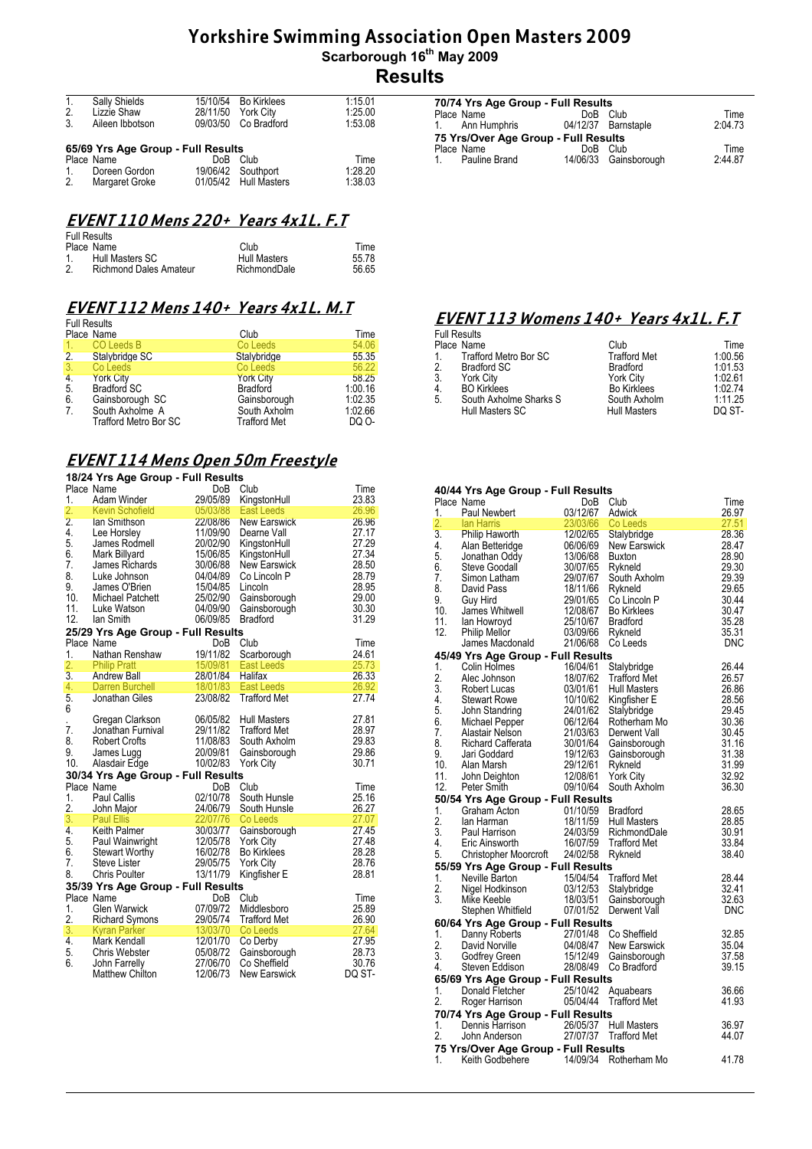| 1.             | Sally Shields                      | 15/10/54        | Bo Kirklees           | 1:15.01 |
|----------------|------------------------------------|-----------------|-----------------------|---------|
| 2.             | Lizzie Shaw                        | 28/11/50        | York City             | 1.25.00 |
| 3.             | Aileen Ibbotson                    |                 | 09/03/50 Co Bradford  | 1:53.08 |
|                |                                    |                 |                       |         |
|                | 65/69 Yrs Age Group - Full Results |                 |                       |         |
|                | Place Name                         | Do <sub>B</sub> | Club                  | Time    |
| $\mathbf{1}$ . | Doreen Gordon                      |                 | 19/06/42 Southport    | 1.28.20 |
| 2.             | Margaret Groke                     |                 | 01/05/42 Hull Masters | 1:38.03 |

## **EVENT 110 Mens 220+ Years 4x1L. F.T**

|              | <b>Full Results</b>           |              |       |
|--------------|-------------------------------|--------------|-------|
|              | Place Name                    | Club         | Time  |
| $\mathbf{1}$ | Hull Masters SC               | Hull Masters | 55.78 |
| 2.           | <b>Richmond Dales Amateur</b> | RichmondDale | 56.65 |

#### **EVENT 112 Mens 140+ Years 4x1L. M.T**

|                  | <b>Full Results</b>          |                     |         |  |  |  |  |
|------------------|------------------------------|---------------------|---------|--|--|--|--|
|                  | Place Name                   | Club                | Time    |  |  |  |  |
| 1.               | CO Leeds B                   | Co Leeds            | 54.06   |  |  |  |  |
| 2.               | Stalybridge SC               | Stalybridge         | 55.35   |  |  |  |  |
| 3.               | Co Leeds                     | Co Leeds            | 56.22   |  |  |  |  |
| $\overline{4}$ . | <b>York City</b>             | <b>York City</b>    | 58.25   |  |  |  |  |
| 5.               | <b>Bradford SC</b>           | <b>Bradford</b>     | 1:00.16 |  |  |  |  |
| 6.               | Gainsborough SC              | Gainsborough        | 1:02.35 |  |  |  |  |
| 7.               | South Axholme A              | South Axholm        | 1:02.66 |  |  |  |  |
|                  | <b>Trafford Metro Bor SC</b> | <b>Trafford Met</b> | DQ 0-   |  |  |  |  |

#### **EVENT 114 Mens Open 50m Freestyle**

#### **18/24 Yrs Age Group - Full Results**

| 1.               | Place Name<br>Adam Winder                        | <b>DoB</b><br>29/05/89 | Club                              | Time<br>23.83  |
|------------------|--------------------------------------------------|------------------------|-----------------------------------|----------------|
| 2.               | <b>Kevin Schofield</b>                           | 05/03/88               | KingstonHull<br><b>East Leeds</b> | 26.96          |
| $\overline{2}$ . | lan Smithson                                     | 22/08/86               | <b>New Earswick</b>               | 26.96          |
| 4.               | Lee Horsley                                      | 11/09/90               | Dearne Vall                       | 27.17          |
| 5.               | James Rodmell                                    | 20/02/90               | KingstonHull                      | 27.29          |
| 6.               | Mark Billyard                                    | 15/06/85               | KingstonHull                      | 27.34          |
| 7.               | James Richards                                   | 30/06/88               | New Earswick                      | 28.50          |
| 8.               | Luke Johnson                                     | 04/04/89               | Co Lincoln P                      | 28.79          |
| 9.               | James O'Brien                                    | 15/04/85               | Lincoln                           | 28.95          |
| 10.              | Michael Patchett                                 | 25/02/90               | Gainsborough                      | 29.00          |
| 11.              | Luke Watson                                      | 04/09/90               | Gainsborough                      | 30.30          |
| 12.              | lan Smith                                        | 06/09/85               | <b>Bradford</b>                   | 31.29          |
|                  | 25/29 Yrs Age Group - Full Results               |                        |                                   |                |
|                  | Place Name                                       | DoB                    | Club                              | Time           |
| 1.               | Nathan Renshaw                                   | 19/11/82               | Scarborough                       | 24.61          |
| 2.               | <b>Philip Pratt</b>                              | 15/09/81               | East Leeds                        | 25.73          |
| 3.               | <b>Andrew Ball</b>                               | 28/01/84               | Halifax                           | 26.33          |
| 4.               | <b>Darren Burchell</b>                           | 18/01/83               | <b>East Leeds</b>                 | 26.92          |
| 5.<br>6          | Jonathan Giles                                   | 23/08/82               | <b>Trafford Met</b>               | 27.74          |
|                  | Gregan Clarkson                                  | 06/05/82               | <b>Hull Masters</b>               | 27.81          |
| 7.               | Jonathan Furnival                                | 29/11/82               | <b>Trafford Met</b>               | 28.97          |
| 8.               | <b>Robert Crofts</b>                             | 11/08/83               | South Axholm                      | 29.83          |
| 9.               | James Lugg                                       | 20/09/81               | Gainsborough                      | 29.86          |
| 10.              | Alasdair Edge                                    | 10/02/83               | <b>York City</b>                  | 30.71          |
|                  | 30/34 Yrs Age Group - Full Results               |                        |                                   |                |
|                  | Place Name                                       | DoB                    | Club                              | Time           |
| 1.               | Paul Callis                                      | 02/10/78               | South Hunsle                      | 25.16          |
| 2.               | John Major                                       | 24/06/79               | South Hunsle                      | 26.27          |
| 3.               | <b>Paul Ellis</b>                                | 22/07/76               | Co Leeds                          | 27.07          |
|                  | 4. Keith Palmer                                  | 30/03/77               | Gainsborough                      | 27.45          |
| 5.               | Paul Wainwright                                  | 12/05/78               | <b>York City</b>                  | 27.48          |
| 6.               | Stewart Worthy                                   | 16/02/78               | <b>Bo Kirklees</b>                | 28.28          |
| 7.<br>8.         | Steve Lister<br><b>Chris Poulter</b>             | 29/05/75<br>13/11/79   | <b>York City</b>                  | 28.76<br>28.81 |
|                  |                                                  |                        | Kingfisher E                      |                |
|                  | 35/39 Yrs Age Group - Full Results<br>Place Name |                        |                                   |                |
|                  |                                                  | DoB                    | Club<br>Middlesboro               | Time           |
| 1.<br>2.         | <b>Glen Warwick</b>                              | 07/09/72<br>29/05/74   | <b>Trafford Met</b>               | 25.89<br>26.90 |
| 3.               | <b>Richard Symons</b><br><b>Kyran Parker</b>     | 13/03/70               | Co Leeds                          | 27.64          |
| 4.               | Mark Kendall                                     | 12/01/70               | Co Derby                          | 27.95          |
| 5.               | Chris Webster                                    | 05/08/72               | Gainsborough                      | 28.73          |
| 6.               | John Farrelly                                    | 27/06/70               | Co Sheffield                      | 30.76          |
|                  | <b>Matthew Chilton</b>                           | 12/06/73               | <b>New Earswick</b>               | DQ ST-         |
|                  |                                                  |                        |                                   |                |

| 70/74 Yrs Age Group - Full Results   |                     |                       |         |  |  |
|--------------------------------------|---------------------|-----------------------|---------|--|--|
| Place Name                           | Do <sub>B</sub>     | Club                  | Time    |  |  |
| 1. Ann Humphris                      | 04/12/37 Barnstaple |                       | 2:04.73 |  |  |
| 75 Yrs/Over Age Group - Full Results |                     |                       |         |  |  |
| Place Name                           | Do <sub>B</sub>     | Club                  | Time    |  |  |
| Pauline Brand<br>$\sim$ 1            |                     | 14/06/33 Gainsborough | 2.4487  |  |  |
|                                      |                     |                       |         |  |  |

#### **EVENT 113 Womens 140+ Years 4x1L. F.T**

| Time    |
|---------|
| 1:00.56 |
| 1:01.53 |
| 1:02.61 |
| 1:02.74 |
| 1:11.25 |
| DO ST-  |
|         |

#### **40/44 Yrs Age Group - Full Results**

|    | Place Name                                                                                                                                                                                                                                                                          | DoB                                                                             | Club                                        | Time       |
|----|-------------------------------------------------------------------------------------------------------------------------------------------------------------------------------------------------------------------------------------------------------------------------------------|---------------------------------------------------------------------------------|---------------------------------------------|------------|
| 1. | Paul Newbert<br>1. Paul Newbert $\frac{23}{1267}$<br>2. Ian Harris $\frac{23}{03/66}$<br>3. Philip Haworth $\frac{120}{266}$<br>5. Jonathan Oddy $\frac{13}{06/68}$<br>5. Jonathan Oddy $\frac{13}{06/68}$<br>6. Steve Goodal<br>7. Simon Latham $\frac{29}{07/67}$<br>8. David Pas | 03/12/67                                                                        | Adwick                                      | 26.97      |
|    |                                                                                                                                                                                                                                                                                     |                                                                                 | Co Leeds                                    | 27.51      |
|    |                                                                                                                                                                                                                                                                                     |                                                                                 | Stalybridge                                 | 28.36      |
|    |                                                                                                                                                                                                                                                                                     |                                                                                 | New Earswick                                | 28.47      |
|    |                                                                                                                                                                                                                                                                                     | 13/06/68 Buxton                                                                 |                                             | 28.90      |
|    |                                                                                                                                                                                                                                                                                     |                                                                                 | Rykneld                                     | 29.30      |
|    |                                                                                                                                                                                                                                                                                     |                                                                                 | South Axholm                                | 29.39      |
|    |                                                                                                                                                                                                                                                                                     |                                                                                 | Rykneld                                     | 29.65      |
|    |                                                                                                                                                                                                                                                                                     |                                                                                 | Co Lincoln P                                | 30.44      |
|    |                                                                                                                                                                                                                                                                                     |                                                                                 | <b>Bo Kirklees</b>                          | 30.47      |
|    | 11. Ian Howroyd<br>12. Philip Mellor                                                                                                                                                                                                                                                | 25/10/67                                                                        | <b>Bradford</b>                             | 35.28      |
|    |                                                                                                                                                                                                                                                                                     | 03/09/66                                                                        | Rykneld                                     | 35.31      |
|    | James Macdonald                                                                                                                                                                                                                                                                     | 21/06/68                                                                        | Co Leeds                                    | <b>DNC</b> |
|    | 45/49 Yrs Age Group - Full Results                                                                                                                                                                                                                                                  |                                                                                 |                                             |            |
|    | 2. Alec Johnson 16/04/61<br>2. Alec Johnson 18/04/61<br>3. Robert Lucas 03/01/61<br>4. Stewart Rowe 10/10/62<br>5. John Standring 24/01/62<br>6. Michael Pepper 06/12/64<br>7. Alastair Nelson 21/03/63<br>8. Richard Cafferata                                                     |                                                                                 | Stalybridge                                 | 26.44      |
|    |                                                                                                                                                                                                                                                                                     |                                                                                 | <b>Trafford Met</b>                         | 26.57      |
|    |                                                                                                                                                                                                                                                                                     |                                                                                 | <b>Hull Masters</b>                         | 26.86      |
|    |                                                                                                                                                                                                                                                                                     |                                                                                 | Kingfisher E                                | 28.56      |
|    |                                                                                                                                                                                                                                                                                     |                                                                                 | Stalybridge                                 | 29.45      |
|    |                                                                                                                                                                                                                                                                                     |                                                                                 | Rotherham Mo                                | 30.36      |
|    |                                                                                                                                                                                                                                                                                     |                                                                                 | Derwent Vall                                | 30.45      |
|    |                                                                                                                                                                                                                                                                                     |                                                                                 |                                             | 31.16      |
|    |                                                                                                                                                                                                                                                                                     |                                                                                 |                                             | 31.38      |
|    |                                                                                                                                                                                                                                                                                     |                                                                                 |                                             | 31.99      |
|    |                                                                                                                                                                                                                                                                                     |                                                                                 |                                             | 32.92      |
|    | F. Michael Meridian 21001/64 Guineaborugh<br>8. Richard Cafferata 30/01/64 Guineaborugh<br>9. Jari Goddard 19/12/63 Gainsborough<br>10. Alan Marsh 29/12/61 Rykneld<br>11. John Deighton 12/08/61 York City<br>12. Peter Smith 09/10/64<br>12. Peter Smith                          | 09/10/64                                                                        | South Axholm                                | 36.30      |
|    | 50/54 Yrs Age Group - Full Results                                                                                                                                                                                                                                                  |                                                                                 |                                             |            |
| 1. | Graham Acton                                                                                                                                                                                                                                                                        | 01/10/59 Bradford<br>18/11/59 Hull Mas<br>24/03/59 Richmon<br>16/07/59 Trafford |                                             | 28.65      |
|    |                                                                                                                                                                                                                                                                                     |                                                                                 | <b>Hull Masters</b>                         | 28.85      |
|    |                                                                                                                                                                                                                                                                                     |                                                                                 | 24/03/59 RichmondDale                       | 30.91      |
|    | 2. Ian Harman<br>3. Paul Harrison<br>4. Eric Ainsworth                                                                                                                                                                                                                              |                                                                                 | <b>Trafford Met</b>                         | 33.84      |
| 5. | Christopher Moorcroft 24/02/58 Rykneld                                                                                                                                                                                                                                              |                                                                                 |                                             | 38.40      |
|    | 55/59 Yrs Age Group - Full Results                                                                                                                                                                                                                                                  |                                                                                 |                                             |            |
|    | 1. Neville Barton                                                                                                                                                                                                                                                                   |                                                                                 |                                             | 28.44      |
| 2. | Neville Barton 15/04/54 Trafford Met<br>Nigel Hodkinson 19/12/53 Stalybridge<br>Mike Keeble 18/03/51 Gainsboroug                                                                                                                                                                    |                                                                                 |                                             | 32.41      |
| 3. |                                                                                                                                                                                                                                                                                     |                                                                                 | Gainsborough                                | 32.63      |
|    | Stephen Whitfield 07/01/52                                                                                                                                                                                                                                                          |                                                                                 | Derwent Vall                                | <b>DNC</b> |
|    | 60/64 Yrs Age Group - Full Results                                                                                                                                                                                                                                                  |                                                                                 |                                             |            |
|    |                                                                                                                                                                                                                                                                                     |                                                                                 | Co Sheffield                                | 32.85      |
|    | 1. Danny Roberts<br>2. David Norville<br>3. Godfrey Green<br>4. Steven Eddison                                                                                                                                                                                                      | $27/01/48$<br>$04/08/47$                                                        | New Earswick                                | 35.04      |
|    |                                                                                                                                                                                                                                                                                     | 15/12/49                                                                        | Gainsborough                                | 37.58      |
|    |                                                                                                                                                                                                                                                                                     | 28/08/49                                                                        | Co Bradford                                 | 39.15      |
|    |                                                                                                                                                                                                                                                                                     |                                                                                 |                                             |            |
| 1. | 65/69 Yrs Age Group - Full Results                                                                                                                                                                                                                                                  |                                                                                 |                                             | 36.66      |
|    | Donald Fletcher                                                                                                                                                                                                                                                                     |                                                                                 | 25/10/42 Aquabears<br>05/04/44 Trafford Met |            |
| 2. | Roger Harrison                                                                                                                                                                                                                                                                      |                                                                                 |                                             | 41.93      |
|    | 70/74 Yrs Age Group - Full Results                                                                                                                                                                                                                                                  |                                                                                 |                                             |            |
| 1. | Dennis Harrison<br>John Anderson                                                                                                                                                                                                                                                    |                                                                                 | 26/05/37 Hull Masters                       | 36.97      |
| 2. | John Anderson                                                                                                                                                                                                                                                                       |                                                                                 | 27/07/37 Trafford Met                       | 44.07      |
|    | 75 Yrs/Over Age Group - Full Results                                                                                                                                                                                                                                                |                                                                                 |                                             |            |
| 1. | Keith Godbehere 14/09/34 Rotherham Mo                                                                                                                                                                                                                                               |                                                                                 |                                             | 41.78      |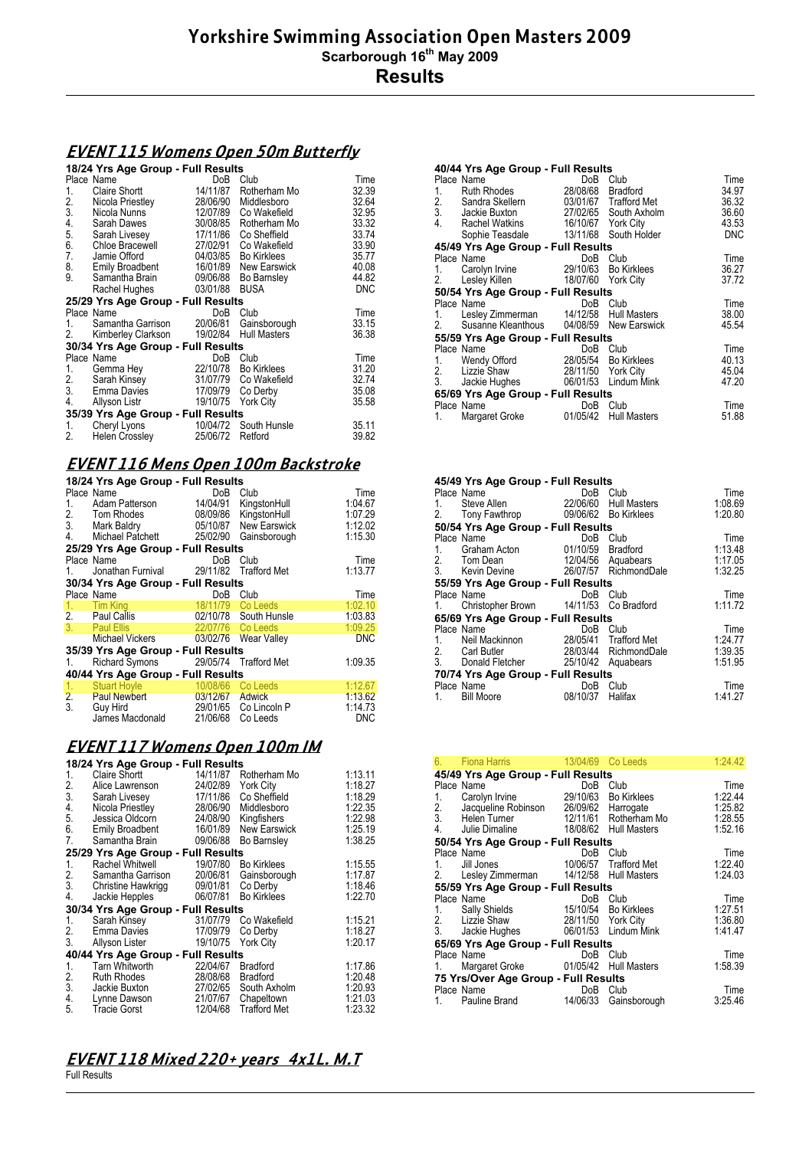#### **EVENT 115 Womens Open 50m Butterfly**

#### **18/24 Yrs Age Group - Full Results**

|                 | Place Name                         | DoB      | Club                | Time       |
|-----------------|------------------------------------|----------|---------------------|------------|
| 1.              | Claire Shortt                      | 14/11/87 | Rotherham Mo        | 32.39      |
| $\frac{2}{3}$ . | Nicola Priestley                   | 28/06/90 | Middlesboro         | 32.64      |
|                 | Nicola Nunns                       | 12/07/89 | Co Wakefield        | 32.95      |
|                 | Sarah Dawes                        | 30/08/85 | Rotherham Mo        | 33.32      |
| 4.<br>5.<br>6.  | Sarah Livesey                      | 17/11/86 | Co Sheffield        | 33.74      |
|                 | Chloe Bracewell                    | 27/02/91 | Co Wakefield        | 33.90      |
| 7.              | Jamie Offord                       | 04/03/85 | <b>Bo Kirklees</b>  | 35.77      |
| 8.              | <b>Emily Broadbent</b>             | 16/01/89 | New Earswick        | 40.08      |
| 9.              | Samantha Brain                     | 09/06/88 | Bo Barnsley         | 44.82      |
|                 | Rachel Hughes                      | 03/01/88 | <b>BUSA</b>         | <b>DNC</b> |
|                 | 25/29 Yrs Age Group - Full Results |          |                     |            |
|                 | Place Name                         | DoB      | Club                | Time       |
| 1.              | Samantha Garrison                  | 20/06/81 | Gainsborough        | 33.15      |
| 2.              | Kimberley Clarkson                 | 19/02/84 | <b>Hull Masters</b> | 36.38      |
|                 | 30/34 Yrs Age Group - Full Results |          |                     |            |
|                 | Place Name                         | DoB      | Club                | Time       |
| 1.              | Gemma Hey                          | 22/10/78 | <b>Bo Kirklees</b>  | 31.20      |
|                 | Sarah Kinsey                       | 31/07/79 | Co Wakefield        | 32.74      |
|                 | 2. Sarah Kinsey<br>3. Emma Davies  | 17/09/79 | Co Derby            | 35.08      |
| 4.              | Allyson Listr                      | 19/10/75 | <b>York City</b>    | 35.58      |
|                 | 35/39 Yrs Age Group - Full Results |          |                     |            |
| 1.              | Cheryl Lyons                       | 10/04/72 | South Hunsle        | 35.11      |
| 2.              | Helen Crossley                     | 25/06/72 | Retford             | 39.82      |
|                 |                                    |          |                     |            |

# **EVENT 116 Mens Open 100m Backstroke**

| 18/24 Yrs Age Group - Full Results |                                      |                   |                       |            |  |
|------------------------------------|--------------------------------------|-------------------|-----------------------|------------|--|
|                                    | Place Name                           | DoB               | Club                  | Time       |  |
| 1.                                 | Adam Patterson                       |                   | 14/04/91 KingstonHull | 1.04.67    |  |
|                                    | 2. Tom Rhodes                        |                   | 08/09/86 KingstonHull | 1:07.29    |  |
|                                    | 3. Mark Baldry                       |                   | 05/10/87 New Earswick | 1:12.02    |  |
| 4.                                 | Michael Patchett                     |                   | 25/02/90 Gainsborough | 1:15.30    |  |
|                                    | 25/29 Yrs Age Group - Full Results   |                   |                       |            |  |
|                                    | Place Name                           | DoB               | Club                  | Time       |  |
| 1.                                 | Jonathan Furnival 29/11/82           |                   | Trafford Met          | 1:13.77    |  |
|                                    | 30/34 Yrs Age Group - Full Results   |                   |                       |            |  |
|                                    | Place Name                           | DoB               | Club                  | Time       |  |
| 1.                                 | <b>Tim King</b>                      | 18/11/79 Co Leeds |                       | 1:02.10    |  |
|                                    | 2. Paul Callis                       |                   | 02/10/78 South Hunsle | 1:03.83    |  |
|                                    | 3. Paul Ellis                        | 22/07/76 Co Leeds |                       | 1:09.25    |  |
|                                    | <b>Michael Vickers</b>               |                   | 03/02/76 Wear Valley  | <b>DNC</b> |  |
|                                    | 35/39 Yrs Age Group - Full Results   |                   |                       |            |  |
| 1.                                 | Richard Symons 29/05/74 Trafford Met |                   |                       | 1:09.35    |  |
|                                    | 40/44 Yrs Age Group - Full Results   |                   |                       |            |  |
| 1.                                 | <b>Stuart Hoyle</b>                  | 10/08/66 Co Leeds |                       | 1:12.67    |  |
|                                    | 2. Paul Newbert                      | 03/12/67          | <b>Adwick</b>         | 1:13.62    |  |
| 3.                                 | <b>Guy Hird</b>                      |                   | 29/01/65 Co Lincoln P | 1:14.73    |  |
|                                    | James Macdonald                      | 21/06/68          | Co Leeds              | <b>DNC</b> |  |

## **EVENT 117 Womens Open 100m IM**

|                       | 18/24 Yrs Age Group - Full Results |          |                     |         |  |  |
|-----------------------|------------------------------------|----------|---------------------|---------|--|--|
| 1.                    | <b>Claire Shortt</b>               | 14/11/87 | Rotherham Mo        | 1:13.11 |  |  |
| $\frac{2}{3}$ .       | Alice Lawrenson                    | 24/02/89 | York City           | 1:18.27 |  |  |
|                       | Sarah Livesey                      | 17/11/86 | Co Sheffield        | 1:18.29 |  |  |
| 4.                    | Nicola Priestley                   | 28/06/90 | Middlesboro         | 1:22.35 |  |  |
| 5.                    | Jessica Oldcorn                    | 24/08/90 | Kingfishers         | 1:22.98 |  |  |
| 6.                    | <b>Emily Broadbent</b>             | 16/01/89 | New Earswick        | 1:25.19 |  |  |
| 7.                    | Samantha Brain                     | 09/06/88 | Bo Barnsley         | 1:38.25 |  |  |
|                       | 25/29 Yrs Age Group - Full Results |          |                     |         |  |  |
| 1.                    | Rachel Whitwell                    | 19/07/80 | <b>Bo Kirklees</b>  | 1:15.55 |  |  |
|                       | Samantha Garrison                  | 20/06/81 | Gainsborough        | 1:17.87 |  |  |
|                       | Christine Hawkrigg                 | 09/01/81 | Co Derby            | 1:18.46 |  |  |
| $\frac{2}{3}$ .<br>4. | Jackie Hepples                     | 06/07/81 | Bo Kirklees         | 1:22.70 |  |  |
|                       | 30/34 Yrs Age Group - Full Results |          |                     |         |  |  |
| 1.                    | Sarah Kinsey                       | 31/07/79 | Co Wakefield        | 1:15.21 |  |  |
| 2.                    | Emma Davies                        | 17/09/79 | Co Derby            | 1:18.27 |  |  |
| 3.                    | Allyson Lister                     | 19/10/75 | York City           | 1:20.17 |  |  |
|                       | 40/44 Yrs Age Group - Full Results |          |                     |         |  |  |
| 1.                    | Tarn Whitworth                     | 22/04/67 | Bradford            | 1:17.86 |  |  |
| $\frac{2}{3}$ .       | <b>Ruth Rhodes</b>                 | 28/08/68 | <b>Bradford</b>     | 1:20.48 |  |  |
|                       | Jackie Buxton                      | 27/02/65 | South Axholm        | 1:20.93 |  |  |
| 4.                    | Lynne Dawson                       | 21/07/67 | Chapeltown          | 1.21.03 |  |  |
| 5.                    | <b>Tracie Gorst</b>                | 12/04/68 | <b>Trafford Met</b> | 1:23.32 |  |  |

# **EVENT 118 Mixed 220+ years 4x1L. M.T**

Full Results

|    | 40/44 Yrs Age Group - Full Results                                            |                    |                       |            |
|----|-------------------------------------------------------------------------------|--------------------|-----------------------|------------|
|    | Place Name                                                                    | DoB                | Club                  | Time       |
|    | 1. Ruth Rhodes<br>2. Sandra Skellern<br>3. Jackie Buxton<br>4. Rachel Watkins | 28/08/68           | <b>Bradford</b>       | 34.97      |
|    |                                                                               |                    | 03/01/67 Trafford Met | 36.32      |
|    |                                                                               |                    | 27/02/65 South Axholm | 36.60      |
|    |                                                                               | 16/10/67 York City |                       | 43.53      |
|    | Sophie Teasdale                                                               |                    | 13/11/68 South Holder | <b>DNC</b> |
|    | 45/49 Yrs Age Group - Full Results                                            |                    |                       |            |
|    | Place Name                                                                    | DoB Club           |                       | Time       |
| 1. | Carolyn Irvine                                                                | 29/10/63           | <b>Bo Kirklees</b>    | 36.27      |
| 2. | Lesley Killen                                                                 | 18/07/60 York City |                       | 37.72      |
|    | 50/54 Yrs Age Group - Full Results                                            |                    |                       |            |
|    | Place Name                                                                    | DoB                | Club                  | Time       |
| 1. | Lesley Zimmerman 14/12/58 Hull Masters                                        |                    |                       | 38.00      |
| 2. | Susanne Kleanthous 04/08/59 New Earswick                                      |                    |                       | 45.54      |
|    | 55/59 Yrs Age Group - Full Results                                            |                    |                       |            |
|    | Place Name                                                                    | DoB Club           |                       | Time       |
| 1. | Wendy Offord                                                                  |                    | 28/05/54 Bo Kirklees  | 40.13      |
| 2. | Lizzie Shaw                                                                   | 28/11/50 York City |                       | 45.04      |
| 3. | Jackie Hughes                                                                 |                    | 06/01/53 Lindum Mink  | 47.20      |
|    | 65/69 Yrs Age Group - Full Results                                            |                    |                       |            |
|    | Place Name                                                                    | DoB                | Club                  | Time       |
| 1. | Margaret Groke                                                                | 01/05/42           | <b>Hull Masters</b>   | 51.88      |
|    |                                                                               |                    |                       |            |

| 45/49 Yrs Age Group - Full Results        |                                   |                       |         |
|-------------------------------------------|-----------------------------------|-----------------------|---------|
| Place Name                                | DoB                               | Club                  | Time    |
| 1.                                        | Steve Allen 22/06/60 Hull Masters |                       | 1:08.69 |
| 2. Tony Fawthrop 09/06/62 Bo Kirklees     |                                   |                       | 1:20.80 |
| 50/54 Yrs Age Group - Full Results        |                                   |                       |         |
| Place Name                                |                                   | DoB Club              | Time    |
| 1. Graham Acton 01/10/59 Bradford         |                                   |                       | 1:13.48 |
| 2. Tom Dean                               |                                   | 12/04/56 Aquabears    | 1:17.05 |
| 3. Kevin Devine 26/07/57 RichmondDale     |                                   |                       | 1:32.25 |
| 55/59 Yrs Age Group - Full Results        |                                   |                       |         |
| Place Name                                | DoB                               | Club                  | Time    |
| 1. Christopher Brown 14/11/53 Co Bradford |                                   |                       | 1:11.72 |
| 65/69 Yrs Age Group - Full Results        |                                   |                       |         |
| Place Name                                |                                   | DoB Club              | Time    |
| 1. Neil Mackinnon                         |                                   | 28/05/41 Trafford Met | 1:24.77 |
| 2. Carl Butler                            | 28/03/44 RichmondDale             |                       | 1:39.35 |
| 3. Donald Fletcher 25/10/42 Aquabears     |                                   |                       | 1:51.95 |
| 70/74 Yrs Age Group - Full Results        |                                   |                       |         |
| Place Name                                | DoB                               | Club                  | Time    |
| <b>Bill Moore</b><br>1.                   | 08/10/37                          | Halifax               | 1:41.27 |
|                                           |                                   |                       |         |

| 6.                | <b>Fiona Harris Exercise State</b>                                                 |          | 13/04/69 Co Leeds     | 1:24.42 |
|-------------------|------------------------------------------------------------------------------------|----------|-----------------------|---------|
|                   | 45/49 Yrs Age Group - Full Results                                                 |          |                       |         |
| Place Name        |                                                                                    | DoB      | Club                  | Time    |
| 1.                | Carolyn Irvine                                                                     |          | 29/10/63 Bo Kirklees  | 1:22.44 |
|                   | 2. Jacqueline Robinson 26/09/62 Harrogate<br>3. Helen Turner 12/11/61 Rotherham Mo |          |                       | 1:25.82 |
|                   |                                                                                    |          |                       | 1:28.55 |
|                   | 4. Julie Dimaline 18/08/62 Hull Masters                                            |          |                       | 1:52.16 |
|                   | 50/54 Yrs Age Group - Full Results                                                 |          |                       |         |
| Place Name        |                                                                                    | DoB      | Club                  | Time    |
| 1. $\blacksquare$ | Jill Jones <b>Show State</b>                                                       |          | 10/06/57 Trafford Met | 1:22.40 |
|                   | 2. Lesley Zimmerman 14/12/58 Hull Masters                                          |          |                       | 1:24.03 |
|                   | 55/59 Yrs Age Group - Full Results                                                 |          |                       |         |
| Place Name        |                                                                                    | DoB      | Club                  | Time    |
|                   | 1. Sally Shields 15/10/54 Bo Kirklees                                              |          |                       | 1:27.51 |
|                   | 2. Lizzie Shaw<br>28/11/50 York City                                               |          |                       | 1:36.80 |
|                   | 3. Jackie Hughes                                                                   |          | 06/01/53 Lindum Mink  | 1:41.47 |
|                   | 65/69 Yrs Age Group - Full Results                                                 |          |                       |         |
| Place Name        |                                                                                    | DoB      | Club                  | Time    |
| 1.                | Margaret Groke                                                                     |          | 01/05/42 Hull Masters | 1:58.39 |
|                   | 75 Yrs/Over Age Group - Full Results                                               |          |                       |         |
| Place Name        |                                                                                    | DoB      | Club                  | Time    |
| 1.                | Pauline Brand                                                                      | 14/06/33 | Gainsborough          | 3:25.46 |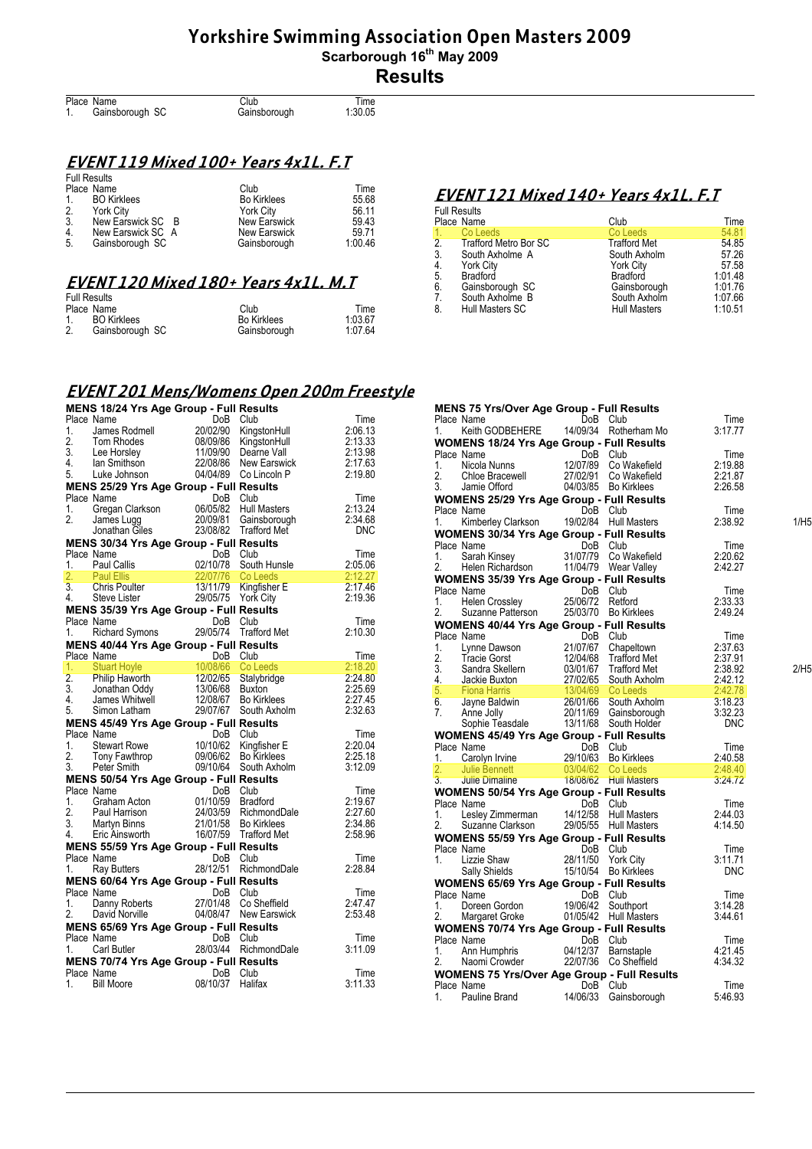| Place Name      | Club         | Time    |
|-----------------|--------------|---------|
| Gainsborough SC | Gainsborough | 1:30.05 |

## **EVENT 119 Mixed 100+ Years 4x1L. F.T**

| <b>Full Results</b> |                    |                    |         |
|---------------------|--------------------|--------------------|---------|
| Place Name          |                    | Club               | Time    |
| $1_{\cdot}$         | <b>BO Kirklees</b> | <b>Bo Kirklees</b> | 55.68   |
| 2.                  | York City          | <b>York City</b>   | 56.11   |
| -3.                 | New Earswick SC B  | New Earswick       | 59.43   |
| 4.                  | New Earswick SC A  | New Earswick       | 59.71   |
| -5.                 | Gainsborough SC    | Gainsborough       | 1:00.46 |

#### **EVENT 120 Mixed 180+ Years 4x1L. M.T**

| <b>Full Results</b>                  |                    |         |
|--------------------------------------|--------------------|---------|
| Place Name                           | Club               | Time    |
| <b>BO</b> Kirklees<br>$\mathbf{1}$ . | <b>Bo Kirklees</b> | 1:03.67 |
| 2.<br>Gainsborough SC                | Gainsborough       | 1:07.64 |

#### **EVENT 121 Mixed 140+ Years 4x1L. F.T**  Full Results

| i uli i waulio |                          |                     |         |
|----------------|--------------------------|---------------------|---------|
|                | Place Name               | Club                | Time    |
| $\mathbf{1}$   | Co Leeds                 | Co Leeds            | 54.81   |
|                | 2. Trafford Metro Bor SC | <b>Trafford Met</b> | 54.85   |
| 3.             | South Axholme A          | South Axholm        | 57.26   |
| 4.             | <b>York City</b>         | <b>York City</b>    | 57.58   |
| 5.             | Bradford                 | Bradford            | 1:01.48 |
| 6.             | Gainsborough SC          | Gainsborough        | 1.01.76 |
| 7.             | South Axholme B          | South Axholm        | 1:07.66 |
| 8.             | Hull Masters SC          | <b>Hull Masters</b> | 1:10.51 |
|                |                          |                     |         |

# **EVENT 201 Mens/Womens Open 200m Freestyle**

|    | MENS 18/24 Yrs Age Group - Full Results                                                                                                                                                                                                    |                      |                                                                  |                                          |
|----|--------------------------------------------------------------------------------------------------------------------------------------------------------------------------------------------------------------------------------------------|----------------------|------------------------------------------------------------------|------------------------------------------|
|    | Place Name                                                                                                                                                                                                                                 | DoB                  | Club                                                             | Time                                     |
|    | Place Name<br>1. James Rodmell<br>20/02/90 KingstonHull<br>2. Tom Rhodes<br>3. Lee Horsley<br>3. Lee Horsley<br>4. Ian Smithson<br>5. Luke Johnson<br>5. Luke Johnson<br>22/08/86 New Earswick<br>5. Luke Johnson<br>20/04/89 Co Lincoln P |                      | KingstonHull                                                     | 2:06.13                                  |
|    |                                                                                                                                                                                                                                            |                      |                                                                  | 2:13.33                                  |
|    |                                                                                                                                                                                                                                            |                      |                                                                  | 2:13.98<br>2:17.63                       |
|    |                                                                                                                                                                                                                                            |                      |                                                                  | 2:19.80                                  |
|    | MENS 25/29 Yrs Age Group - Full Results                                                                                                                                                                                                    |                      |                                                                  |                                          |
|    | Place Name                                                                                                                                                                                                                                 |                      |                                                                  | Time                                     |
|    |                                                                                                                                                                                                                                            |                      |                                                                  | 2:13.24                                  |
|    |                                                                                                                                                                                                                                            |                      |                                                                  | 2:34.68                                  |
|    |                                                                                                                                                                                                                                            |                      |                                                                  | <b>DNC</b>                               |
|    | MENS 30/34 Yrs Age Group - Full Results<br>Place Name                                                                                                                                                                                      | DoB Club             |                                                                  | Time                                     |
|    |                                                                                                                                                                                                                                            |                      | South Hunsle                                                     | 2:05.06                                  |
|    |                                                                                                                                                                                                                                            |                      |                                                                  | 2:12.27                                  |
|    |                                                                                                                                                                                                                                            |                      |                                                                  | a a shekarar 1979.<br>Matukio<br>2:17.46 |
|    |                                                                                                                                                                                                                                            |                      |                                                                  | 2:19.36                                  |
|    | MENS 35/39 Yrs Age Group - Full Results                                                                                                                                                                                                    |                      |                                                                  |                                          |
|    | Place Name<br>Name DoB<br>Richard Symons 29/05/74                                                                                                                                                                                          | DoB                  | Club                                                             | Time                                     |
| 1. |                                                                                                                                                                                                                                            |                      | <b>Trafford Met</b>                                              | 2:10.30                                  |
|    | <b>MENS 40/44 Yrs Age Group - Full Results</b>                                                                                                                                                                                             |                      |                                                                  |                                          |
|    | Place Name<br>1. Stuart Hoyle<br>1. Stuart Hoyle<br>2. Philip Haworth 12/02/65 Stalybridge<br>3. Jonathan Oddy 13/06/68 Buxton<br>4. James Whitwell<br>5. Simon Latham 29/07/67 South Axholm                                               |                      |                                                                  | Time<br>2:18.20                          |
|    |                                                                                                                                                                                                                                            |                      |                                                                  | 2:24.80                                  |
|    |                                                                                                                                                                                                                                            |                      |                                                                  | 2:25.69                                  |
|    |                                                                                                                                                                                                                                            |                      |                                                                  | 2:27.45                                  |
|    |                                                                                                                                                                                                                                            |                      | Co Leeds<br>Stalybridge<br>Buxton<br>Bo Kirklees<br>South Axholm | 2:32.63                                  |
|    | MENS 45/49 Yrs Age Group - Full Results                                                                                                                                                                                                    |                      |                                                                  |                                          |
|    | Place Name<br>1. Stewart Rowe<br>1. Stewart Rowe<br>2. Tony Fawthrop<br>3. Peter Smith 09/10/64 South Axholm                                                                                                                               |                      |                                                                  | Time                                     |
|    |                                                                                                                                                                                                                                            |                      |                                                                  | 2:20.04                                  |
|    |                                                                                                                                                                                                                                            |                      |                                                                  | 2:25.18                                  |
|    | MENS 50/54 Yrs Age Group - Full Results                                                                                                                                                                                                    |                      |                                                                  | 3:12.09                                  |
|    | Place Name                                                                                                                                                                                                                                 | DoB Club             |                                                                  | Time                                     |
|    |                                                                                                                                                                                                                                            |                      |                                                                  | 2:19.67                                  |
|    |                                                                                                                                                                                                                                            |                      |                                                                  | 2:27.60                                  |
|    |                                                                                                                                                                                                                                            |                      |                                                                  | 2:34.86                                  |
|    | Place Name<br>1. Graham Acton<br>2. Paul Harrison 24/03/59 Bradford<br>3. Martyn Binns 21/01/58 Bo Kirklees<br>4. Eric Ainsworth 16/07/59 Trafford Met                                                                                     |                      |                                                                  | 2:58.96                                  |
|    | MENS 55/59 Yrs Age Group - Full Results                                                                                                                                                                                                    |                      |                                                                  |                                          |
|    | Place Name                                                                                                                                                                                                                                 | DoB Club             |                                                                  | Time                                     |
| 1. | Ray Butters                                                                                                                                                                                                                                |                      | 28/12/51 RichmondDale                                            | 2:28.84                                  |
|    | MENS 60/64 Yrs Age Group - Full Results                                                                                                                                                                                                    |                      |                                                                  | Time                                     |
|    |                                                                                                                                                                                                                                            |                      |                                                                  | 2.47.47                                  |
|    | Place Name<br>1. Danny Roberts 27/01/48 Co Sheffield<br>2. David Norville 04/08/47 New Earswick                                                                                                                                            |                      |                                                                  | 2:53.48                                  |
|    |                                                                                                                                                                                                                                            |                      |                                                                  |                                          |
|    |                                                                                                                                                                                                                                            |                      |                                                                  |                                          |
|    | MENS 65/69 Yrs Age Group - Full Results<br>Place Name                                                                                                                                                                                      | DoB Club             |                                                                  | Time                                     |
|    | 1. Carl Butler                                                                                                                                                                                                                             |                      | 28/03/44 RichmondDale                                            | 3:11.09                                  |
|    | MENS 70/74 Yrs Age Group - Full Results                                                                                                                                                                                                    |                      |                                                                  |                                          |
|    | Place Name<br>1. Bill Moore                                                                                                                                                                                                                | DoB Club<br>08/10/37 | Halifax                                                          | Time<br>3:11.33                          |

|    | MENS 75 Yrs/Over Age Group - Full Results<br>Place Name                                                                                                                                                                                             |          | DoB Club                               | Time            |      |
|----|-----------------------------------------------------------------------------------------------------------------------------------------------------------------------------------------------------------------------------------------------------|----------|----------------------------------------|-----------------|------|
| 1. | Keith GODBEHERE                                                                                                                                                                                                                                     |          | 14/09/34 Rotherham Mo                  | 3:17.77         |      |
|    | 1. Kelth GUUDEFIERD 1799001 - Full Results<br>Place Name 1078 Club<br>1. Nicola Nunns 12/07/89 Co Wakefield<br>2. Chloe Bracewell 27/02/91 Co Wakefield<br>3. Jamie Offord 14/03/85 Bo Kirklees<br>1. The Communication of the Communica            |          |                                        |                 |      |
|    |                                                                                                                                                                                                                                                     |          |                                        |                 |      |
|    |                                                                                                                                                                                                                                                     |          |                                        | Time<br>2:19.88 |      |
|    |                                                                                                                                                                                                                                                     |          |                                        | 2:21.87         |      |
|    |                                                                                                                                                                                                                                                     |          |                                        | 2:26.58         |      |
|    |                                                                                                                                                                                                                                                     |          |                                        |                 |      |
|    | WOMENS 25/29 Yrs Age Group - Full Results                                                                                                                                                                                                           |          |                                        |                 |      |
| 1. | Place Name                                                                                                                                                                                                                                          |          | DoB Club<br>19/02/84 Hull Masters      | Time<br>2:38.92 | 1/H5 |
|    | Kimberley Clarkson                                                                                                                                                                                                                                  |          |                                        |                 |      |
|    | WOMENS 30/34 Yrs Age Group - Full Results                                                                                                                                                                                                           |          |                                        |                 |      |
|    | Place Name<br>name<br>Sarah Kinsey                                                                                                                                                                                                                  |          | DoB Club                               | Time            |      |
| 1. |                                                                                                                                                                                                                                                     |          | 31/07/79 Co Wakefield                  | 2:20.62         |      |
|    | Helen Richardson                                                                                                                                                                                                                                    |          | 11/04/79 Wear Valley                   | 2:42.27         |      |
|    | WOMENS 35/39 Yrs Age Group - Full Results                                                                                                                                                                                                           |          |                                        |                 |      |
|    | Place Name                                                                                                                                                                                                                                          | DoB Club | Club<br>25/06/72 Retford<br>25/00/70 - | Time            |      |
| 1. |                                                                                                                                                                                                                                                     |          |                                        | 2:33.33         |      |
| 2. |                                                                                                                                                                                                                                                     |          |                                        | 2:49.24         |      |
|    |                                                                                                                                                                                                                                                     |          |                                        |                 |      |
|    |                                                                                                                                                                                                                                                     |          |                                        |                 |      |
|    |                                                                                                                                                                                                                                                     |          |                                        |                 |      |
|    |                                                                                                                                                                                                                                                     |          |                                        |                 |      |
|    |                                                                                                                                                                                                                                                     |          |                                        |                 | 2/H5 |
|    |                                                                                                                                                                                                                                                     |          |                                        |                 |      |
|    |                                                                                                                                                                                                                                                     |          |                                        |                 |      |
|    |                                                                                                                                                                                                                                                     |          |                                        |                 |      |
|    |                                                                                                                                                                                                                                                     |          |                                        |                 |      |
|    |                                                                                                                                                                                                                                                     |          |                                        |                 |      |
|    | 2. Suzanne Patterson<br>2.903/00 Bo Nikiess<br>2.49.24<br>2. WOMENS 40/44 Yrs Age Group - Full Results<br>2. Tracie Gorst<br>2. Tracie Gorst<br>2. Tracie Gorst<br>2. Tracie Gorst<br>2. Tracie Gorst<br>2. Tracie Gorst<br>2. Tracie Gorst<br>2. T |          |                                        |                 |      |
|    | Place Name<br>1. Carolyn Irvine 29/10/63 Bo Kirklees<br>2. This Bennett 2003/04/62 Co Leeds                                                                                                                                                         |          |                                        |                 |      |
|    | Price National Care of the USB Cutter<br>1. Carolyn Irvine 19/10/63 Bo Kirklees 2.40.58<br>2. Julie Dimaline 18/08/62 Hull Masters 3.247.72                                                                                                         |          |                                        |                 |      |
|    |                                                                                                                                                                                                                                                     |          |                                        |                 |      |
|    |                                                                                                                                                                                                                                                     |          |                                        |                 |      |
|    | 1. Ugue Dennett<br>2. Julie Bennett<br>3. Julie Dimaline 18/08/62 Hull Missieu<br>WOMENS 50/54 Yrs Age Group - Full Results<br>The Name DoB Club<br>14/12/58 Hull Masters<br>14/12/58 Hull Masters                                                  |          |                                        |                 |      |
|    |                                                                                                                                                                                                                                                     |          |                                        | Time            |      |
|    |                                                                                                                                                                                                                                                     |          |                                        | 2:44.03         |      |
|    |                                                                                                                                                                                                                                                     |          |                                        | 4:14.50         |      |
|    | Place Ivante Clarkson<br>1. Lesley Zimmerman<br>29/05/55 Hull Ivante Clarkson<br><b>WOMENS 55/59 Yrs Age Group - Full Results</b><br>The Mame DoB Club<br>28/11/50 York City<br>28/11/50 York City                                                  |          |                                        |                 |      |
|    |                                                                                                                                                                                                                                                     |          |                                        | Time            |      |
|    |                                                                                                                                                                                                                                                     |          |                                        | 3:11.71         |      |
|    | The United States States States States States States States States States States States States States States States States States States States States States States States States States States States States States States S                      |          |                                        | <b>DNC</b>      |      |
|    | 1. Lizzie Shaw<br>Sally Shields<br><b>WOMENS 65/69 Yrs Age Group - Full Results<br/> DoB Club<br/> Couthont</b>                                                                                                                                     |          |                                        |                 |      |
|    |                                                                                                                                                                                                                                                     |          |                                        | Time            |      |
|    |                                                                                                                                                                                                                                                     |          |                                        | 3:14.28         |      |
|    | Doreen Gordon<br>Margaret Groke<br>IENG ESC                                                                                                                                                                                                         |          |                                        | 3:44.61         |      |
|    | 1. Doreen Concerned and $01/05/42$ The concerned State of the UNDENS 70/74 Yrs Age Group - Full Results<br>WOMENS 70/74 Yrs Age Group - Full Results<br>All Concerned Concerned Concerned Arrange                                                   |          |                                        |                 |      |
|    |                                                                                                                                                                                                                                                     |          |                                        | Time            |      |
|    |                                                                                                                                                                                                                                                     |          |                                        | 4:21.45         |      |
|    | Naomi Crowder                                                                                                                                                                                                                                       |          | 22/07/36 Co Sheffield                  | 4:34.32         |      |
|    |                                                                                                                                                                                                                                                     |          |                                        |                 |      |
|    | Place Name                                                                                                                                                                                                                                          | DoB      | Club                                   | Time            |      |
| 1. | Pauline Brand                                                                                                                                                                                                                                       | 14/06/33 | Gainsborough                           | 5:46.93         |      |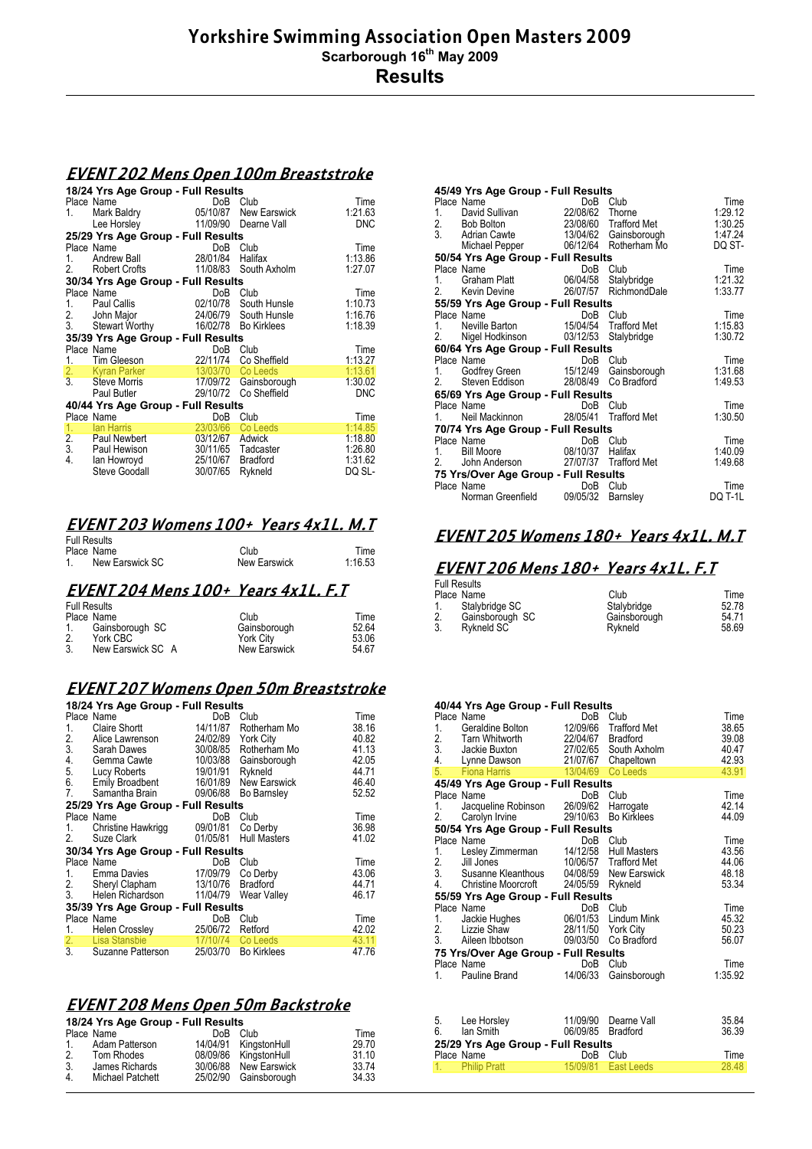## **EVENT 202 Mens Open 100m Breaststroke**

|                                    | 18/24 Yrs Age Group - Full Results               |                   |                                                |                    |
|------------------------------------|--------------------------------------------------|-------------------|------------------------------------------------|--------------------|
|                                    | Place Name                                       |                   | DoB Club                                       | Time               |
| 1.                                 | Mark Baldry                                      |                   | 05/10/87 New Earswick                          | 1:21.63            |
|                                    | Lee Horsley                                      |                   | 11/09/90 Dearne Vall                           | <b>DNC</b>         |
|                                    | 25/29 Yrs Age Group - Full Results               |                   |                                                |                    |
|                                    | Place Name                                       |                   | DoB Club                                       | Time               |
| 1.                                 | Andrew Ball                                      | 28/01/84          | Halifax                                        | 1:13.86            |
| 2.                                 | <b>Robert Crofts</b>                             |                   | 11/08/83 South Axholm                          | 1:27.07            |
|                                    | 30/34 Yrs Age Group - Full Results               |                   |                                                |                    |
|                                    | Place Name                                       |                   | DoB Club                                       | Time               |
| 1.                                 | Paul Callis                                      |                   | 02/10/78 South Hunsle                          | 1:10.73            |
|                                    |                                                  |                   | 24/06/79 South Hunsle                          | 1:16.76            |
|                                    | 2. John Major<br>3. Stewart Worthy               |                   | 16/02/78 Bo Kirklees                           | 1:18.39            |
| 35/39 Yrs Age Group - Full Results |                                                  |                   |                                                |                    |
|                                    |                                                  |                   |                                                |                    |
|                                    |                                                  |                   |                                                |                    |
|                                    | Place Name                                       |                   | DoB Club                                       | Time               |
| 1.                                 | Tim Gleeson                                      | 22/11/74          | Co Sheffield                                   | 1:13.27            |
| $\frac{2}{3}$                      | <b>Kyran Parker</b><br><b>Steve Morris</b>       | 13/03/70 Co Leeds |                                                | 1:13.61<br>1:30.02 |
|                                    | Paul Butler                                      |                   | 17/09/72 Gainsborough<br>29/10/72 Co Sheffield | <b>DNC</b>         |
|                                    |                                                  |                   |                                                |                    |
|                                    | 40/44 Yrs Age Group - Full Results<br>Place Name | DoB               | Club                                           | Time               |
| 1.                                 | lan Harris                                       | 23/03/66          | Co Leeds                                       | 1:14.85            |
|                                    | Paul Newbert                                     |                   |                                                |                    |
|                                    | Paul Hewison                                     | 03/12/67 Adwick   | 30/11/65 Tadcaster                             | 1:18.80<br>1:26.80 |
| $\frac{2}{3}$ .<br>4.              | lan Howroyd                                      | 25/10/67 Bradford |                                                | 1.31.62            |
|                                    | Steve Goodall                                    | 30/07/65          | Rykneld                                        | DQ SL-             |

#### **EVENT 203 Womens 100+ Years 4x1L. M.T**

| <b>Full Results</b> |              |         |
|---------------------|--------------|---------|
| Place Name          | Club         | Time    |
| New Earswick SC     | New Earswick | 1:16.53 |

#### **EVENT 204 Mens 100+ Years 4x1L. F.T**

| <b>Full Results</b> |                   |                  |       |
|---------------------|-------------------|------------------|-------|
|                     | Place Name        | Club             | Time  |
| 1.                  | Gainsborough SC   | Gainsborough     | 52.64 |
| 2.                  | York CBC          | <b>York City</b> | 53.06 |
| 3.                  | New Earswick SC A | New Earswick     | 54.67 |

# **EVENT 207 Womens Open 50m Breaststroke**

|                                    | 18/24 Yrs Age Group - Full Results       |                    |                       |       |  |  |
|------------------------------------|------------------------------------------|--------------------|-----------------------|-------|--|--|
|                                    | Place Name                               | DoB                | Club                  | Time  |  |  |
| 1.                                 | Claire Shortt                            |                    | 14/11/87 Rotherham Mo | 38.16 |  |  |
| 2.                                 | Alice Lawrenson                          | 24/02/89 York City |                       | 40.82 |  |  |
|                                    | 3. Sarah Dawes                           |                    | 30/08/85 Rotherham Mo | 41.13 |  |  |
|                                    | 4. Gemma Cawte                           |                    | 10/03/88 Gainsborough | 42.05 |  |  |
| 5.                                 | Lucy Roberts                             | 19/01/91 Rykneld   |                       | 44.71 |  |  |
|                                    | 6. Emily Broadbent                       |                    | 16/01/89 New Earswick | 46.40 |  |  |
| 7.                                 | Samantha Brain                           |                    | 09/06/88 Bo Barnsley  | 52.52 |  |  |
|                                    | 25/29 Yrs Age Group - Full Results       |                    |                       |       |  |  |
|                                    | Place Name                               | DoB                | Club                  | Time  |  |  |
| 1.                                 | Christine Hawkrigg                       | 09/01/81           | Co Derby              | 36.98 |  |  |
| 2.                                 | Suze Clark                               |                    | 01/05/81 Hull Masters | 41.02 |  |  |
|                                    | 30/34 Yrs Age Group - Full Results       |                    |                       |       |  |  |
|                                    | Place Name                               | DoB                | Club                  | Time  |  |  |
| 1.                                 | Emma Davies                              | 17/09/79 Co Derby  |                       | 43.06 |  |  |
|                                    | 2. Sheryl Clapham<br>3. Helen Richardson | 13/10/76 Bradford  |                       | 44.71 |  |  |
|                                    | Helen Richardson                         |                    | 11/04/79 Wear Valley  | 46.17 |  |  |
| 35/39 Yrs Age Group - Full Results |                                          |                    |                       |       |  |  |
|                                    | Place Name                               | DoB                | Club                  | Time  |  |  |
|                                    | 1. Helen Crossley                        | 25/06/72           | Retford               | 42.02 |  |  |
|                                    | 2. Lisa Stansbie                         | 17/10/74 Co Leeds  |                       | 43.11 |  |  |
|                                    | 3. Suzanne Patterson                     | 25/03/70           | <b>Bo Kirklees</b>    | 47.76 |  |  |

## **EVENT 208 Mens Open 50m Backstroke**

| 18/24 Yrs Age Group - Full Results |                  |                 |                       |       |  |
|------------------------------------|------------------|-----------------|-----------------------|-------|--|
|                                    | Place Name       | Do <sub>B</sub> | Club                  | Time  |  |
| 1.                                 | Adam Patterson   |                 | 14/04/91 KingstonHull | 29.70 |  |
| 2.                                 | Tom Rhodes       |                 | 08/09/86 KingstonHull | 31.10 |  |
| 3.                                 | James Richards   |                 | 30/06/88 New Earswick | 33.74 |  |
| 4.                                 | Michael Patchett |                 | 25/02/90 Gainsborough | 34.33 |  |

| Place Name                 |                       | Club              | Time                                                                                                                                                                                                                                                                                                                                                                                                                                                                                                                                                                                                                                                                                                                                                        |
|----------------------------|-----------------------|-------------------|-------------------------------------------------------------------------------------------------------------------------------------------------------------------------------------------------------------------------------------------------------------------------------------------------------------------------------------------------------------------------------------------------------------------------------------------------------------------------------------------------------------------------------------------------------------------------------------------------------------------------------------------------------------------------------------------------------------------------------------------------------------|
|                            |                       |                   | 1.29.12                                                                                                                                                                                                                                                                                                                                                                                                                                                                                                                                                                                                                                                                                                                                                     |
|                            |                       |                   | 1:30.25                                                                                                                                                                                                                                                                                                                                                                                                                                                                                                                                                                                                                                                                                                                                                     |
|                            |                       |                   | 1:47.24                                                                                                                                                                                                                                                                                                                                                                                                                                                                                                                                                                                                                                                                                                                                                     |
|                            |                       |                   | DQ ST-                                                                                                                                                                                                                                                                                                                                                                                                                                                                                                                                                                                                                                                                                                                                                      |
|                            |                       |                   |                                                                                                                                                                                                                                                                                                                                                                                                                                                                                                                                                                                                                                                                                                                                                             |
| Place Name                 |                       |                   | Time                                                                                                                                                                                                                                                                                                                                                                                                                                                                                                                                                                                                                                                                                                                                                        |
|                            |                       |                   | 1.21.32                                                                                                                                                                                                                                                                                                                                                                                                                                                                                                                                                                                                                                                                                                                                                     |
| 2<br>Kevin Devine          |                       |                   | 1:33.77                                                                                                                                                                                                                                                                                                                                                                                                                                                                                                                                                                                                                                                                                                                                                     |
|                            |                       |                   |                                                                                                                                                                                                                                                                                                                                                                                                                                                                                                                                                                                                                                                                                                                                                             |
| Place Name                 |                       |                   | Time                                                                                                                                                                                                                                                                                                                                                                                                                                                                                                                                                                                                                                                                                                                                                        |
|                            |                       |                   | 1:15.83                                                                                                                                                                                                                                                                                                                                                                                                                                                                                                                                                                                                                                                                                                                                                     |
| 2.                         |                       | Stalybridge       | 1:30.72                                                                                                                                                                                                                                                                                                                                                                                                                                                                                                                                                                                                                                                                                                                                                     |
|                            |                       |                   |                                                                                                                                                                                                                                                                                                                                                                                                                                                                                                                                                                                                                                                                                                                                                             |
| Place Name                 |                       |                   | Time                                                                                                                                                                                                                                                                                                                                                                                                                                                                                                                                                                                                                                                                                                                                                        |
|                            |                       |                   | 1.31.68                                                                                                                                                                                                                                                                                                                                                                                                                                                                                                                                                                                                                                                                                                                                                     |
| 2.                         |                       |                   | 1.49.53                                                                                                                                                                                                                                                                                                                                                                                                                                                                                                                                                                                                                                                                                                                                                     |
|                            |                       |                   |                                                                                                                                                                                                                                                                                                                                                                                                                                                                                                                                                                                                                                                                                                                                                             |
| Place Name                 |                       | Club              | Time                                                                                                                                                                                                                                                                                                                                                                                                                                                                                                                                                                                                                                                                                                                                                        |
| 1 $\overline{\phantom{a}}$ |                       |                   | 1:30.50                                                                                                                                                                                                                                                                                                                                                                                                                                                                                                                                                                                                                                                                                                                                                     |
|                            |                       |                   |                                                                                                                                                                                                                                                                                                                                                                                                                                                                                                                                                                                                                                                                                                                                                             |
| Place Name                 |                       | Club              | Time                                                                                                                                                                                                                                                                                                                                                                                                                                                                                                                                                                                                                                                                                                                                                        |
|                            |                       |                   | 1:40.09                                                                                                                                                                                                                                                                                                                                                                                                                                                                                                                                                                                                                                                                                                                                                     |
| 2.                         |                       |                   | 1:49.68                                                                                                                                                                                                                                                                                                                                                                                                                                                                                                                                                                                                                                                                                                                                                     |
|                            |                       |                   |                                                                                                                                                                                                                                                                                                                                                                                                                                                                                                                                                                                                                                                                                                                                                             |
| Place Name                 |                       | Club              | Time                                                                                                                                                                                                                                                                                                                                                                                                                                                                                                                                                                                                                                                                                                                                                        |
|                            |                       | Barnsley          | DQ T-1L                                                                                                                                                                                                                                                                                                                                                                                                                                                                                                                                                                                                                                                                                                                                                     |
|                            | Name<br>Godfrey Green | Norman Greenfield | 45/49 Yrs Age Group - Full Results<br>DoB<br>3. Adrian Cawte 13/04/62 Gainsborough<br>Michael Pepper 06/12/64 Rotherham Mo<br>50/54 Yrs Age Group - Full Results<br>DoB Club<br>Name DoB Club<br>Graham Platt 06/04/58 Stalybridge<br>26/07/57 RichmondDale<br>55/59 Yrs Age Group - Full Results<br>DoB Club<br>Nigel Hodkinson 03/12/53<br>60/64 Yrs Age Group - Full Results<br>DoB Club<br>DoB Club<br>15/12/49 Gainsborough<br>Steven Eddison 28/08/49 Co Bradford<br>65/69 Yrs Age Group - Full Results<br>DoB<br>Neil Mackinnon 28/05/41 Trafford Met<br>70/74 Yrs Age Group - Full Results<br>DoB<br>Name DoB Club<br>Bill Moore 08/10/37 Halifax<br>John Anderson 27/07/37 Trafford Met<br>75 Yrs/Over Age Group - Full Results<br>DoB<br>09/05/32 |

# **EVENT 205 Womens 180+ Years 4x1L. M.T**

# **EVENT 206 Mens 180+ Years 4x1L. F.T**

|    | <b>Full Results</b> |              |       |
|----|---------------------|--------------|-------|
|    | Place Name          | Club         | Time  |
| 1. | Stalybridge SC      | Stalvbridge  | 52.78 |
| 2. | Gainsborough SC     | Gainsborough | 54.71 |
| 3. | Rykneld SC          | Rvkneld      | 58.69 |

|                  | 40/44 Yrs Age Group - Full Results   |          |                       |         |
|------------------|--------------------------------------|----------|-----------------------|---------|
|                  | Place Name                           | DoB      | Club                  | Time    |
| 1.               | Geraldine Bolton                     | 12/09/66 | Trafford Met          | 38.65   |
| 2.               | Tarn Whitworth                       | 22/04/67 | Bradford              | 39.08   |
| $\overline{3}$ . | Jackie Buxton                        | 27/02/65 | South Axholm          | 40.47   |
| 4.               | Lynne Dawson                         | 21/07/67 | Chapeltown            | 42.93   |
| 5.               | <b>Fiona Harris</b>                  | 13/04/69 | Co Leeds              | 43.91   |
|                  | 45/49 Yrs Age Group - Full Results   |          |                       |         |
|                  | Place Name                           | DoB      | Club                  | Time    |
| 1.               | Jacqueline Robinson                  | 26/09/62 | Harrogate             | 42.14   |
| 2.               | Carolyn Irvine                       | 29/10/63 | <b>Bo Kirklees</b>    | 44.09   |
|                  | 50/54 Yrs Age Group - Full Results   |          |                       |         |
|                  | Place Name                           | DoB      | Club                  | Time    |
| 1.               | Lesley Zimmerman                     | 14/12/58 | <b>Hull Masters</b>   | 43.56   |
|                  | 2. Jill Jones                        |          | 10/06/57 Trafford Met | 44.06   |
|                  | 3. Susanne Kleanthous                | 04/08/59 | New Earswick          | 48.18   |
| 4.               | <b>Christine Moorcroft</b>           | 24/05/59 | Rykneld               | 53.34   |
|                  | 55/59 Yrs Age Group - Full Results   |          |                       |         |
|                  | Place Name                           | DoB      | Club                  | Time    |
| 1.               | Jackie Hughes                        | 06/01/53 | Lindum Mink           | 45.32   |
| 2.               | Lizzie Shaw                          | 28/11/50 | <b>York City</b>      | 50.23   |
| 3.               | Aileen Ibbotson                      | 09/03/50 | Co Bradford           | 56.07   |
|                  | 75 Yrs/Over Age Group - Full Results |          |                       |         |
|                  | Place Name                           | DoB      | Club                  | Time    |
| 1.               | Pauline Brand                        | 14/06/33 | Gainsborough          | 1:35.92 |
|                  |                                      |          |                       |         |
|                  |                                      |          |                       |         |
|                  |                                      |          |                       |         |
| 5.               | Lee Horsley                          | 11/09/90 | Dearne Vall           | 35.84   |

| 5. | Lee Horsley     |                                    | 11/09/90 Dearne Vall  | 35.84 |
|----|-----------------|------------------------------------|-----------------------|-------|
| 6. | lan Smith       |                                    | 06/09/85 Bradford     | 36.39 |
|    |                 | 25/29 Yrs Age Group - Full Results |                       |       |
|    |                 |                                    |                       |       |
|    | Place Name      |                                    | DoB Club              | Time  |
|    | 1. Philip Pratt |                                    | 15/09/81   East Leeds | 28.48 |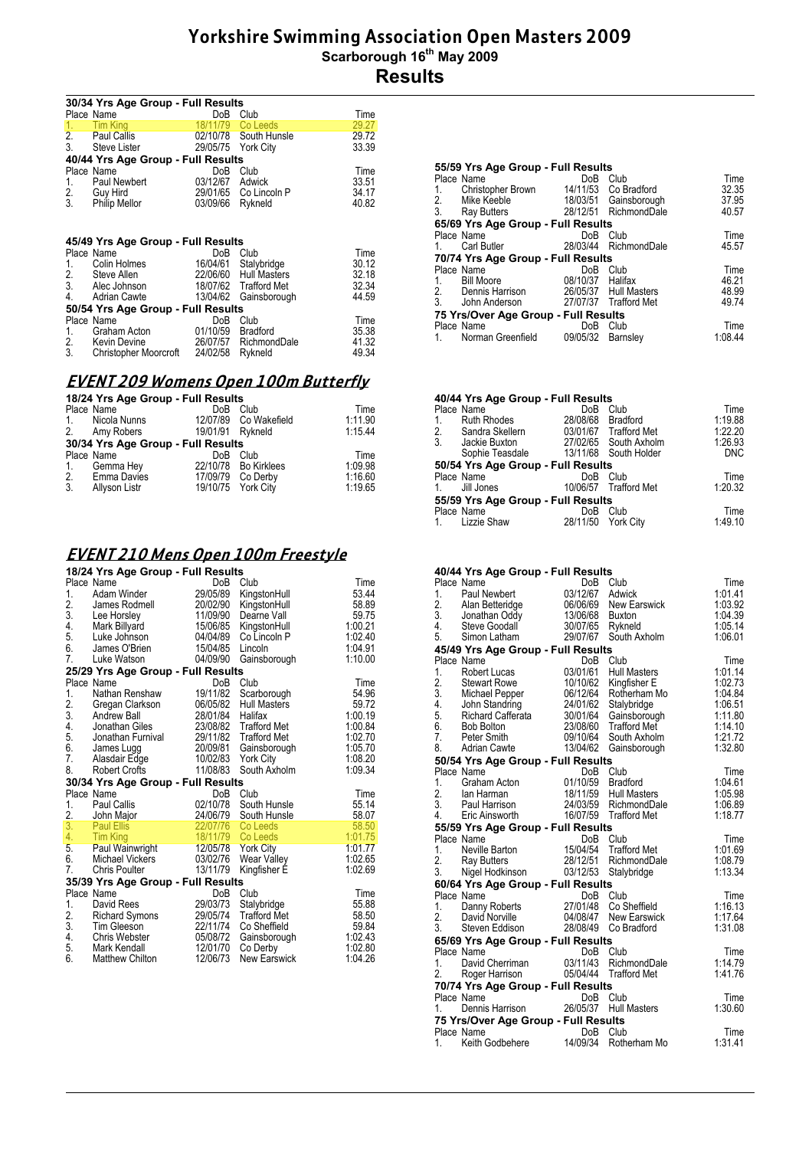| 30/34 Yrs Age Group - Full Results |                                    |                    |                       |               |
|------------------------------------|------------------------------------|--------------------|-----------------------|---------------|
|                                    | Place Name                         | DoB                | Club                  | Time          |
| 1.                                 | <b>Tim King</b>                    |                    | 18/11/79 Co Leeds     | 29.27         |
|                                    | 2. Paul Callis                     |                    | 02/10/78 South Hunsle | 29.72         |
| 3 <sub>1</sub>                     | Steve Lister                       | 29/05/75 York City |                       | 33.39         |
|                                    | 40/44 Yrs Age Group - Full Results |                    |                       |               |
|                                    | Place Name                         | DoB                | Club                  | Time          |
| 1.                                 | Paul Newbert                       | 03/12/67 Adwick    |                       | 33.51         |
|                                    | 2. Guy Hird<br>3. Philip Mellor    |                    | 29/01/65 Co Lincoln P | 34.17         |
|                                    |                                    | 03/09/66           | Rykneld               | 40.82         |
|                                    |                                    |                    |                       |               |
|                                    | 45/49 Yrs Age Group - Full Results |                    |                       |               |
|                                    | Place Name                         | DoB                | Club                  | Time          |
| 1.                                 | Colin Holmes                       |                    | 16/04/61 Stalybridge  | 30.12         |
|                                    |                                    |                    | 22/06/60 Hull Masters | 32.18         |
|                                    | 2. Steve Allen<br>3. Alec Johnson  |                    | 18/07/62 Trafford Met | 32.34         |
|                                    | 4. Adrian Cawte                    | 13/04/62           | Gainsborough          | 44.59         |
|                                    | 50/54 Yrs Age Group - Full Results |                    |                       |               |
|                                    |                                    | DoB                |                       |               |
|                                    | Place Name                         |                    | Club                  | Time<br>35.38 |
| 1.                                 | Graham Acton<br>2. Kevin Devine    | 01/10/59           | <b>Bradford</b>       | 41.32         |
| 3.                                 |                                    |                    | 26/07/57 RichmondDale |               |
|                                    | Christopher Moorcroft 24/02/58     |                    | Rykneld               | 49.34         |

## **EVENT 209 Womens Open 100m Butterfly**

| 18/24 Yrs Age Group - Full Results |                                    |     |                       |         |
|------------------------------------|------------------------------------|-----|-----------------------|---------|
|                                    | Place Name                         | DoB | Club                  | Time    |
|                                    | 1. Nicola Nunns                    |     | 12/07/89 Co Wakefield | 1:11.90 |
|                                    | 2. Amy Robers                      |     | 19/01/91 Rykneld      | 1:15.44 |
|                                    | 30/34 Yrs Age Group - Full Results |     |                       |         |
|                                    | Place Name                         | DoB | Club                  | Time    |
| 1.                                 | Gemma Hev                          |     | 22/10/78 Bo Kirklees  | 1.09.98 |
|                                    | 2. Emma Davies                     |     | 17/09/79 Co Derby     | 1:16.60 |
| 3.                                 | Allyson Listr                      |     | 19/10/75 York City    | 1:19.65 |

# **EVENT 210 Mens Open 100m Freestyle**

|                 | 18/24 Yrs Age Group - Full Results |                      |                          |                |  |
|-----------------|------------------------------------|----------------------|--------------------------|----------------|--|
|                 | Place Name                         | DoB                  | Club                     | Time           |  |
| 1.              | Adam Winder                        | 29/05/89             | KingstonHull             | 53.44          |  |
| 2.              | James Rodmell                      | 20/02/90             | KingstonHull             | 58.89          |  |
| 3.              | Lee Horsley                        | 11/09/90             | Dearne Vall              | 59.75          |  |
| 4.              | Mark Billyard                      | 15/06/85             | KingstonHull             | 1:00.21        |  |
| 5.              | Luke Johnson                       | 04/04/89             | Co Lincoln P             | 1:02.40        |  |
| 6.              | James O'Brien                      | 15/04/85             | Lincoln                  | 1:04.91        |  |
| 7.              | Luke Watson                        | 04/09/90             | Gainsborough             | 1:10.00        |  |
|                 | 25/29 Yrs Age Group - Full Results |                      |                          |                |  |
|                 | Place Name                         | DoB                  | Club                     | Time           |  |
| 1.              | Nathan Renshaw                     | 19/11/82             | Scarborough              | 54.96          |  |
| $\frac{2}{3}$ . | Gregan Clarkson                    | 06/05/82             | <b>Hull Masters</b>      | 59.72          |  |
|                 | Andrew Ball                        | 28/01/84             | Halifax                  | 1:00.19        |  |
| 4.              | Jonathan Giles                     | 23/08/82             | <b>Trafford Met</b>      | 1:00.84        |  |
| 5.              | Jonathan Furnival                  | 29/11/82             | <b>Trafford Met</b>      | 1:02.70        |  |
| 6.              | James Lugg                         | 20/09/81             | Gainsborough             | 1:05.70        |  |
| 7.              | Alasdair Edge<br>Robert Crofts     | 10/02/83             | <b>York City</b>         | 1:08.20        |  |
| 8.              |                                    | 11/08/83             | South Axholm             | 1:09.34        |  |
|                 | 30/34 Yrs Age Group - Full Results |                      |                          |                |  |
|                 | Place Name                         | DoB                  | Club                     | Time           |  |
| 1.              | <b>Paul Callis</b>                 | 02/10/78             | South Hunsle             | 55.14          |  |
| 2.<br>3.        | John Major<br><b>Paul Ellis</b>    | 24/06/79<br>22/07/76 | South Hunsle<br>Co Leeds | 58.07<br>58.50 |  |
| 4.              | <b>Tim King</b>                    | 18/11/79             | Co Leeds                 | 1:01.75        |  |
| 5.              | Paul Wainwright                    | 12/05/78             | <b>York City</b>         | 1:01.77        |  |
| 6.              | Michael Vickers                    | 03/02/76             | Wear Valley              | 1:02.65        |  |
| 7.              | <b>Chris Poulter</b>               | 13/11/79             | Kingfisher É             | 1:02.69        |  |
|                 | 35/39 Yrs Age Group - Full Results |                      |                          |                |  |
|                 | Place Name                         | DoB                  | Club                     | Time           |  |
| 1.              | David Rees                         | 29/03/73             | Stalybridge              | 55.88          |  |
|                 | <b>Richard Symons</b>              | 29/05/74             | <b>Trafford Met</b>      | 58.50          |  |
| $\frac{2}{3}$ . | Tim Gleeson                        | 22/11/74             | Co Sheffield             | 59.84          |  |
| 4.              | Chris Webster                      | 05/08/72             | Gainsborough             | 1:02.43        |  |
| 5.              | Mark Kendall                       | 12/01/70             | Co Derby                 | 1:02.80        |  |
| 6.              | <b>Matthew Chilton</b>             | 12/06/73             | <b>New Earswick</b>      | 1:04.26        |  |
|                 |                                    |                      |                          |                |  |

|    | 55/59 Yrs Age Group - Full Results   |                  |                       |         |
|----|--------------------------------------|------------------|-----------------------|---------|
|    | Place Name                           | DoB              | Club                  | Time    |
|    | 1. Christopher Brown                 |                  | 14/11/53 Co Bradford  | 32.35   |
|    | 2. Mike Keeble                       |                  | 18/03/51 Gainsborough | 37.95   |
|    | 3. Ray Butters                       |                  | 28/12/51 RichmondDale | 40.57   |
|    | 65/69 Yrs Age Group - Full Results   |                  |                       |         |
|    | Place Name                           | DoB              | Club                  | Time    |
|    | Carl Butler                          |                  | 28/03/44 RichmondDale | 45.57   |
|    | 70/74 Yrs Age Group - Full Results   |                  |                       |         |
|    | Place Name                           | DoB              | Club                  | Time    |
| 1. | <b>Bill Moore</b>                    | 08/10/37 Halifax |                       | 46.21   |
|    | 2. Dennis Harrison                   |                  | 26/05/37 Hull Masters | 48.99   |
|    | 3. John Anderson                     |                  | 27/07/37 Trafford Met | 49.74   |
|    | 75 Yrs/Over Age Group - Full Results |                  |                       |         |
|    | Place Name                           | DoB              | Club                  | Time    |
|    | Norman Greenfield                    | 09/05/32         | <b>Barnsley</b>       | 1.08.44 |
|    |                                      |                  |                       |         |

| 40/44 Yrs Age Group - Full Results |          |                 |                                                                                                                                                                 |  |  |
|------------------------------------|----------|-----------------|-----------------------------------------------------------------------------------------------------------------------------------------------------------------|--|--|
| Place Name                         | DoB      | Club            | Time                                                                                                                                                            |  |  |
| <b>Ruth Rhodes</b>                 |          | <b>Bradford</b> | 1:19.88                                                                                                                                                         |  |  |
| 2. Sandra Skellern                 |          |                 | 1:22.20                                                                                                                                                         |  |  |
| Jackie Buxton                      |          |                 | 1.26.93                                                                                                                                                         |  |  |
|                                    |          |                 | <b>DNC</b>                                                                                                                                                      |  |  |
|                                    |          |                 |                                                                                                                                                                 |  |  |
| Place Name                         | DoB      | Club            | Time                                                                                                                                                            |  |  |
| Jill Jones                         |          |                 | 1:20.32                                                                                                                                                         |  |  |
| 55/59 Yrs Age Group - Full Results |          |                 |                                                                                                                                                                 |  |  |
| Place Name                         | DoB      | Club            | Time                                                                                                                                                            |  |  |
| Lizzie Shaw                        | 28/11/50 |                 | 1:49.10                                                                                                                                                         |  |  |
|                                    |          | Sophie Teasdale | 28/08/68<br>03/01/67 Trafford Met<br>27/02/65 South Axholm<br>13/11/68 South Holder<br>50/54 Yrs Age Group - Full Results<br>10/06/57 Trafford Met<br>York Citv |  |  |

#### **40/44 Yrs Age Group - Full Results**

|    | Place Name                                                                                                                                                                                                                 | DoB      | Club                  | Time                   |
|----|----------------------------------------------------------------------------------------------------------------------------------------------------------------------------------------------------------------------------|----------|-----------------------|------------------------|
|    | 1. Paul Newbert                                                                                                                                                                                                            | 03/12/67 | Adwick                | 1 01 41                |
|    |                                                                                                                                                                                                                            |          |                       | 1:03.92                |
|    |                                                                                                                                                                                                                            |          |                       | 1:04.39                |
|    |                                                                                                                                                                                                                            |          |                       | 1.05.14                |
|    | 2. Alan Betteridge<br>2. Alan Betteridge<br>3. Jonathan Oddy<br>4. Steve Goodall 30/07/65 Rykneld<br>5. Simon Latham 29/07/67 South Axholm                                                                                 |          |                       | 1:06.01                |
|    | 45/49 Yrs Age Group - Full Results                                                                                                                                                                                         |          |                       |                        |
|    | Place Name                                                                                                                                                                                                                 | DoB      | Club                  | Time                   |
|    |                                                                                                                                                                                                                            |          | <b>Hull Masters</b>   | 1:01.14                |
|    |                                                                                                                                                                                                                            |          | Kingfisher E          | 1:02.73                |
|    |                                                                                                                                                                                                                            |          | Rotherham Mo          | 1.04.84                |
|    | Prace Name<br>1. Robert Lucas<br>2. Stewart Rowe<br>3. Michael Pepper<br>3. Michael Pepper<br>4. John Standring<br>5. Richard Cafferata<br>6. Bob Bolton<br>6. Bob Bolton<br>23/08/60<br>7. Peter Smith<br>8. Adrian Caude |          | Stalybridge           | 1:06.51                |
|    |                                                                                                                                                                                                                            |          | Gainsborough          | $1:11.80$<br>$1:14.10$ |
|    |                                                                                                                                                                                                                            |          | Trafford Met          |                        |
|    |                                                                                                                                                                                                                            |          | South Axholm          | 1:21.72                |
| 8. | Adrian Cawte 13/04/62                                                                                                                                                                                                      |          | Gainsborough          | 1:32.80                |
|    | 50/54 Yrs Age Group - Full Results                                                                                                                                                                                         |          |                       |                        |
|    | Place Name                                                                                                                                                                                                                 |          | DoB Club              | Time                   |
|    |                                                                                                                                                                                                                            |          |                       | 1:04.61                |
|    |                                                                                                                                                                                                                            |          |                       | 1:05.98                |
|    |                                                                                                                                                                                                                            |          |                       | 1:06.89                |
|    | 1. Graham Acton<br>1. Graham Acton<br>2. Ian Harman 18/11/59 Bradford<br>3. Paul Harrison 24/03/59 RichmondDale<br>4. Eric Ainsworth 16/07/59 Trafford Met                                                                 |          |                       | 1:18.77                |
|    | 55/59 Yrs Age Group - Full Results                                                                                                                                                                                         |          |                       |                        |
|    | Place Name                                                                                                                                                                                                                 |          | DoB Club              | Time                   |
|    | Place ivame<br>1. Neville Barton 15/04/54 Trafford Met                                                                                                                                                                     |          |                       | 1.01.69                |
|    |                                                                                                                                                                                                                            |          |                       | 1:08.79                |
|    | 2. Ray Butters 28/12/51 RichmondDale<br>3. Nigel Hodkinson 03/12/53 Stalybridge                                                                                                                                            |          |                       | 1:13.34                |
|    | 60/64 Yrs Age Group - Full Results                                                                                                                                                                                         |          |                       |                        |
|    | Place Name                                                                                                                                                                                                                 |          | DoB Club              | Time                   |
|    | 1. Danny Roberts 27/01/48 Co Sheffield                                                                                                                                                                                     |          |                       | 1:16.13                |
|    | 2. David Norville                         04/08/47   New Earswick<br>3.     Steven Eddison                   28/08/49   Co Bradford                                                                                        |          |                       | 1:17.64                |
|    |                                                                                                                                                                                                                            |          |                       | 1:31.08                |
|    | 65/69 Yrs Age Group - Full Results                                                                                                                                                                                         |          |                       |                        |
|    | Place Name                                                                                                                                                                                                                 |          | DoB Club              | Time                   |
| 1. |                                                                                                                                                                                                                            |          |                       | 1:14.79                |
|    | 2. Roger Harrison                                                                                                                                                                                                          |          | 05/04/44 Trafford Met | 1:41.76                |
|    | 70/74 Yrs Age Group - Full Results                                                                                                                                                                                         |          |                       |                        |
|    | Place Name                                                                                                                                                                                                                 | DoB Club |                       | Time                   |
| 1. | Dennis Harrison 26/05/37 Hull Masters                                                                                                                                                                                      |          |                       | 1:30.60                |
|    | 75 Yrs/Over Age Group - Full Results                                                                                                                                                                                       |          |                       |                        |
|    | Place Name                                                                                                                                                                                                                 | DoB      | Club                  | Time                   |
| 1. | Keith Godbehere                                                                                                                                                                                                            | 14/09/34 | Rotherham Mo          | 1:31.41                |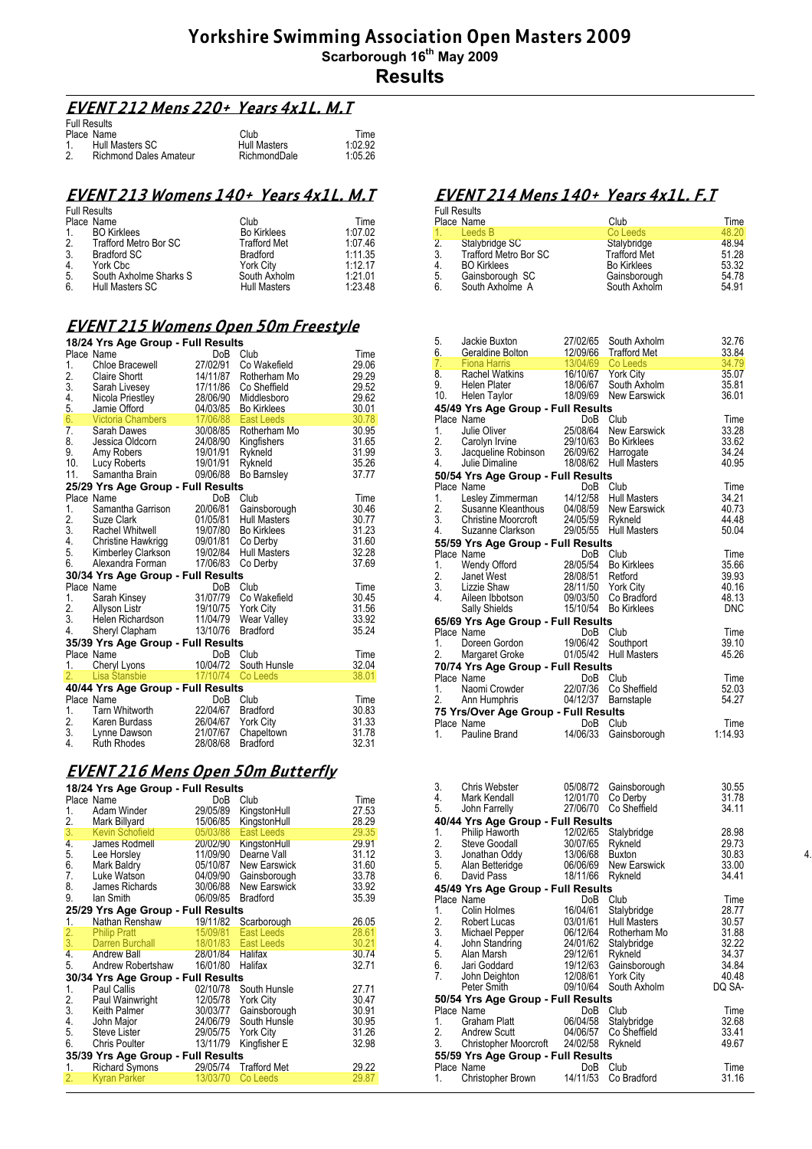# **EVENT 212 Mens 220+ Years 4x1L. M.T**

| <b>Full Results</b>                 |                     |         |
|-------------------------------------|---------------------|---------|
| Place Name                          | Club                | Time    |
| Hull Masters SC                     | <b>Hull Masters</b> | 1:02.92 |
| 2.<br><b>Richmond Dales Amateur</b> | RichmondDale        | 1:05.26 |

#### **EVENT 213 Womens 140+ Years 4x1L. M.T**

| <b>Full Results</b> |                        |                     |         |
|---------------------|------------------------|---------------------|---------|
|                     | Place Name             | Club                | Time    |
| $1_{\cdot}$         | <b>BO</b> Kirklees     | <b>Bo Kirklees</b>  | 1:07.02 |
| 2.                  | Trafford Metro Bor SC  | <b>Trafford Met</b> | 1:07.46 |
| 3.                  | <b>Bradford SC</b>     | <b>Bradford</b>     | 1:11.35 |
| 4.                  | York Cbc               | <b>York City</b>    | 1:12.17 |
| 5.                  | South Axholme Sharks S | South Axholm        | 1:21.01 |
| 6.                  | Hull Masters SC        | <b>Hull Masters</b> | 1:23.48 |

# **EVENT 215 Womens Open 50m Freestyle**

|                  | 18/24 Yrs Age Group - Full Results                                                                                                                                                                   |                                                                                             |                     |       |  |  |
|------------------|------------------------------------------------------------------------------------------------------------------------------------------------------------------------------------------------------|---------------------------------------------------------------------------------------------|---------------------|-------|--|--|
|                  | Place Name                                                                                                                                                                                           | DoB                                                                                         | Club                | Time  |  |  |
| 1.               | Chloe Bracewell                                                                                                                                                                                      | 27/02/91                                                                                    | Co Wakefield        | 29.06 |  |  |
|                  |                                                                                                                                                                                                      |                                                                                             | Rotherham Mo        | 29.29 |  |  |
|                  |                                                                                                                                                                                                      |                                                                                             | Co Sheffield        | 29.52 |  |  |
|                  | 2. Claire Sirones<br>3. Sarah Livesey<br><sup>Nicola</sup> Priestley                                                                                                                                 |                                                                                             | Middlesboro         | 29.62 |  |  |
| 5.               | Nicola Priestley<br>Jamie Offord                                                                                                                                                                     | $\begin{array}{r}\n 14/11/87 \\  17/11/86 \\  28/06/90 \\  \hline\n 04/03/85\n \end{array}$ | <b>Bo Kirklees</b>  | 30.01 |  |  |
| 6.               | Victoria Chambers<br>Sarah Dawes<br>Jessica Oldcorn<br>Amy Roberts<br>Lucy Roberts                                                                                                                   | $\begin{array}{r} 17/06/88 \\ 30/08/85 \\ 24/08/90 \\ 19/01/91 \\ 19/01/91 \end{array}$     | East Leeds          | 30.78 |  |  |
| $\overline{7}$ . |                                                                                                                                                                                                      |                                                                                             | Rotherham Mo        | 30.95 |  |  |
| 8.               |                                                                                                                                                                                                      |                                                                                             | Kingfishers         | 31.65 |  |  |
| 9.               |                                                                                                                                                                                                      |                                                                                             | Rykneld             | 31.99 |  |  |
| 10.              |                                                                                                                                                                                                      |                                                                                             | Rykneld             | 35.26 |  |  |
| 11.              | Samantha Brain                                                                                                                                                                                       | 09/06/88                                                                                    | Bo Barnsley         | 37.77 |  |  |
|                  | 25/29 Yrs Age Group - Full Results                                                                                                                                                                   |                                                                                             |                     |       |  |  |
|                  | Place Name                                                                                                                                                                                           | DoB                                                                                         | Club                | Time  |  |  |
|                  |                                                                                                                                                                                                      |                                                                                             | Gainsborough        | 30.46 |  |  |
|                  |                                                                                                                                                                                                      |                                                                                             | <b>Hull Masters</b> | 30.77 |  |  |
|                  |                                                                                                                                                                                                      |                                                                                             | <b>Bo Kirklees</b>  | 31.23 |  |  |
|                  |                                                                                                                                                                                                      |                                                                                             | Co Derby            | 31.60 |  |  |
|                  |                                                                                                                                                                                                      |                                                                                             | <b>Hull Masters</b> | 32.28 |  |  |
|                  | Piace ivalue<br>1. Samantha Garrison<br>2. Suze Clark<br>3. Rachel Whitwell<br>4. Christine Hawkrigg<br>5. Kimberley Clarkson<br>6. Alexandra Forman<br>19/02/84<br>6. Alexandra Forman<br>17/06/83. |                                                                                             | Co Derby            | 37.69 |  |  |
|                  | 30/34 Yrs Age Group - Full Results                                                                                                                                                                   |                                                                                             |                     |       |  |  |
|                  | Place Name                                                                                                                                                                                           | DoB Club                                                                                    |                     | Time  |  |  |
| 1.               |                                                                                                                                                                                                      |                                                                                             |                     | 30.45 |  |  |
| 2.               | Allyson Listr                                                                                                                                                                                        |                                                                                             |                     | 31.56 |  |  |
| 3.               | Helen Richardson                                                                                                                                                                                     |                                                                                             |                     | 33.92 |  |  |
| 4.               | Sheryl Clapham                                                                                                                                                                                       | 13/10/76                                                                                    | <b>Bradford</b>     | 35.24 |  |  |
|                  | 35/39 Yrs Age Group - Full Results                                                                                                                                                                   |                                                                                             |                     |       |  |  |
|                  | Place Name                                                                                                                                                                                           | DoB Club                                                                                    |                     | Time  |  |  |
| 1.               | Cheryl Lyons 10/04/72                                                                                                                                                                                |                                                                                             | South Hunsle        | 32.04 |  |  |
| 2.               | Lisa Stansbie                                                                                                                                                                                        | 17/10/74                                                                                    | Co Leeds            | 38.01 |  |  |
|                  | 40/44 Yrs Age Group - Full Results                                                                                                                                                                   |                                                                                             |                     |       |  |  |
|                  | Place Name                                                                                                                                                                                           | DoB                                                                                         | Club                | Time  |  |  |
| 1.               | Tarn Whitworth                                                                                                                                                                                       | 22/04/67                                                                                    | <b>Bradford</b>     | 30.83 |  |  |
|                  | 2. Karen Burdass                                                                                                                                                                                     | 26/04/67 York City                                                                          |                     | 31.33 |  |  |
| 3.               | Lynne Dawson                                                                                                                                                                                         | 21/07/67                                                                                    | Chapeltown          | 31.78 |  |  |
| 4.               | <b>Ruth Rhodes</b>                                                                                                                                                                                   | 28/08/68                                                                                    | <b>Bradford</b>     | 32.31 |  |  |

### **EVENT 216 Mens Open 50m Butterfly**

#### **18/24 Yrs Age Group - Full Results**

|                 | Place Name                         | DoB                | Club                  | Time  |
|-----------------|------------------------------------|--------------------|-----------------------|-------|
| 1.              | Adam Winder                        | 29/05/89           | KingstonHull          | 27.53 |
| 2.              | Mark Billyard                      | 15/06/85           | KingstonHull          | 28.29 |
| 3.              | Kevin Schofield                    | 05/03/88           | East Leeds            | 29.35 |
| 4.              | James Rodmell                      |                    | 20/02/90 KingstonHull | 29.91 |
| 5.              | Lee Horsley                        | 11/09/90           | Dearne Vall           | 31.12 |
| 6.              | Mark Baldry                        | 05/10/87           | New Earswick          | 31.60 |
| 7.              | Luke Watson                        | 04/09/90           | Gainsborough          | 33.78 |
| 8.              | James Richards                     | 30/06/88           | New Earswick          | 33.92 |
| 9.              | lan Smith                          | 06/09/85           | <b>Bradford</b>       | 35.39 |
|                 | 25/29 Yrs Age Group - Full Results |                    |                       |       |
| 1.              | Nathan Renshaw                     |                    | 19/11/82 Scarborough  | 26.05 |
|                 | <b>Philip Pratt</b>                |                    | 15/09/81 East Leeds   | 28.61 |
| $\frac{2}{3}$ . | Darren Burchall                    |                    | 18/01/83 East Leeds   | 30.21 |
| 4.              | <b>Andrew Ball</b>                 | 28/01/84           | <b>Halifax</b>        | 30.74 |
| 5.              | Andrew Robertshaw                  | 16/01/80           | Halifax               | 32.71 |
|                 | 30/34 Yrs Age Group - Full Results |                    |                       |       |
| 1.              | Paul Callis                        | 02/10/78           | South Hunsle          | 27.71 |
|                 | Paul Wainwright                    |                    | 12/05/78 York City    | 30.47 |
| $\frac{2}{3}$ . | Keith Palmer                       |                    | 30/03/77 Gainsborough | 30.91 |
| 4.              | John Major                         | 24/06/79           | South Hunsle          | 30.95 |
| 5.              | Steve Lister                       | 29/05/75 York City |                       | 31.26 |
| 6.              | Chris Poulter                      | 13/11/79           | Kingfisher E          | 32.98 |
|                 | 35/39 Yrs Age Group - Full Results |                    |                       |       |
| 1.              | Richard Symons                     |                    | 29/05/74 Trafford Met | 29.22 |
| 2.              | <b>Kyran Parker</b>                | 13/03/70           | Co Leeds              | 29.87 |
|                 |                                    |                    |                       |       |

# **EVENT 214 Mens 140+ Years 4x1L. F.T**

|                | <b>Full Results</b>          |                     |       |
|----------------|------------------------------|---------------------|-------|
|                | Place Name                   | Club                | Time  |
| $1 -$          | Leeds B                      | Co Leeds            | 48.20 |
| 2 <sub>1</sub> | Stalybridge SC               | Stalybridge         | 48.94 |
| 3.             | <b>Trafford Metro Bor SC</b> | <b>Trafford Met</b> | 51.28 |
| 4.             | <b>BO</b> Kirklees           | <b>Bo Kirklees</b>  | 53.32 |
| 5.             | Gainsborough SC              | Gainsborough        | 54.78 |
| 6.             | South Axholme A              | South Axholm        | 54.91 |
|                |                              |                     |       |

| 5. | Jackie Buxton                                                                                                                                                               | 27/02/65 | South Axholm                                                                           | 32.76<br>33.84          |
|----|-----------------------------------------------------------------------------------------------------------------------------------------------------------------------------|----------|----------------------------------------------------------------------------------------|-------------------------|
|    | 6. Geraldine Bolton 12/09/66 Trafford Met<br>7. Fiona Harris 13/04/69 Co Leeds                                                                                              |          |                                                                                        | 34.79                   |
| 9. | 8. Rachel Watkins 16/10/67 York City<br>Helen Plater<br>10. Helen Taylor                                                                                                    |          | 18/06/67 South Axholm<br>18/09/69 New Earswick                                         | 35.07<br>35.81<br>36.01 |
|    | 45/49 Yrs Age Group - Full Results                                                                                                                                          |          |                                                                                        |                         |
|    | Place Name                                                                                                                                                                  |          | DoB Club                                                                               | Time                    |
| 1. | Julie Oliver                                                                                                                                                                |          | 25/08/64 New Earswick                                                                  | 33.28                   |
|    |                                                                                                                                                                             |          |                                                                                        | 33.62                   |
|    | 1. Julie University 2010/63 Bo Kirklees<br>2. Carolyn Irvine 29/10/63 Bo Kirklees<br>3. Jacqueline Robinson 26/09/62 Harrogate<br>4. Julie Dimaline 18/08/62 Hull Masters   |          |                                                                                        | 34.24                   |
|    |                                                                                                                                                                             |          | <b>Hull Masters</b>                                                                    | 40.95                   |
|    | 50/54 Yrs Age Group - Full Results                                                                                                                                          |          |                                                                                        |                         |
|    | Place Name                                                                                                                                                                  |          | DoB Club                                                                               | Time<br>34.21           |
|    | 1. Lesley Zimmerman 14/12/58 Hull Masters<br>2. Susanne Kleanthous 04/08/59 New Earswick<br>3. Christine Moorcroft 24/05/59 Rykneld<br>4. Susanne Clarkeon 20/05/55 Rykneld |          |                                                                                        | 40.73                   |
|    |                                                                                                                                                                             |          |                                                                                        | 44.48                   |
|    | 4. Suzanne Clarkson 29/05/55                                                                                                                                                |          | <b>Hull Masters</b>                                                                    | 50.04                   |
|    | 55/59 Yrs Age Group - Full Results                                                                                                                                          |          |                                                                                        |                         |
|    | Place Name                                                                                                                                                                  |          | DoB Club                                                                               | Time                    |
| 1. | <b>Wendy Offord</b>                                                                                                                                                         |          | 28/05/54 Bo Kirklees                                                                   | 35.66                   |
| 2. | Janet West                                                                                                                                                                  |          |                                                                                        | 39.93                   |
|    | 2. January<br>3. Lizzie Shaw<br>4. Aileen Ibbotson                                                                                                                          |          |                                                                                        | 40.16                   |
|    |                                                                                                                                                                             |          |                                                                                        | 48.13                   |
|    | Sally Shields                                                                                                                                                               |          | 28/08/51 Retford<br>28/11/50 York City<br>09/03/50 Co Bradford<br>15/10/54 Bo Kirklees | <b>DNC</b>              |
|    | 65/69 Yrs Age Group - Full Results                                                                                                                                          |          |                                                                                        |                         |
|    | Place Name                                                                                                                                                                  |          | DoB Club                                                                               | Time                    |
| 1. | Doreen Gordon                                                                                                                                                               | 19/06/42 | Southport                                                                              | 39.10                   |
|    | 2. Margaret Groke 01/05/42                                                                                                                                                  |          | <b>Hull Masters</b>                                                                    | 45.26                   |
|    | 70/74 Yrs Age Group - Full Results                                                                                                                                          |          |                                                                                        |                         |
|    | Place Name                                                                                                                                                                  | DoB      | Club                                                                                   | Time                    |
| 1. | Naomi Crowder 22/07/36 Co Sheffield<br>2. Ann Humphris 04/12/37 Barnstaple                                                                                                  |          |                                                                                        | 52.03<br>54.27          |
|    |                                                                                                                                                                             |          |                                                                                        |                         |
|    | 75 Yrs/Over Age Group - Full Results<br>Place Name                                                                                                                          | DoB      | Club                                                                                   | Time                    |
| 1. | Pauline Brand                                                                                                                                                               | 14/06/33 | Gainsborough                                                                           | 1:14.93                 |
|    |                                                                                                                                                                             |          |                                                                                        |                         |
|    |                                                                                                                                                                             |          |                                                                                        |                         |

| 3.              | Chris Webster                                                                                                                                                                                                                         | 05/08/72         | Gainsborough          | 30.55  |    |  |  |
|-----------------|---------------------------------------------------------------------------------------------------------------------------------------------------------------------------------------------------------------------------------------|------------------|-----------------------|--------|----|--|--|
| 4.              | Mark Kendall                                                                                                                                                                                                                          |                  | 12/01/70 Co Derby     | 31.78  |    |  |  |
| 5.              | John Farrelly                                                                                                                                                                                                                         |                  | 27/06/70 Co Sheffield | 34.11  |    |  |  |
|                 | 40/44 Yrs Age Group - Full Results                                                                                                                                                                                                    |                  |                       |        |    |  |  |
| 1.              | Philip Haworth 12/02/65<br>Steve Goodall 30/07/65                                                                                                                                                                                     |                  | Stalybridge           | 28.98  |    |  |  |
| $\frac{2}{3}$ . |                                                                                                                                                                                                                                       | 30/07/65 Rykneld |                       | 29.73  |    |  |  |
|                 | Jonathan Oddy 13/06/68 Buxton                                                                                                                                                                                                         |                  |                       | 30.83  | 4. |  |  |
|                 |                                                                                                                                                                                                                                       |                  |                       | 33.00  |    |  |  |
|                 |                                                                                                                                                                                                                                       |                  |                       | 34.41  |    |  |  |
|                 | 45/49 Yrs Age Group - Full Results                                                                                                                                                                                                    |                  |                       |        |    |  |  |
|                 | Place Name                                                                                                                                                                                                                            | DoB              | Club                  | Time   |    |  |  |
| 1.              | Colin Holmes                                                                                                                                                                                                                          | 16/04/61         | Stalybridge           | 28.77  |    |  |  |
|                 | 3. Michael Pepper<br>3. Michael Pepper<br>3. Michael Pepper<br>4. John Standring<br>5. Alan Marsh<br>6. Jari Goddard<br>6. Jari Goddard<br>19/19/61 Rykneld<br>5. Alan Marsh<br>19/19/61 Rykneld<br>5. Alan Marsh<br>19/19/61 Rykneld |                  |                       | 30.57  |    |  |  |
|                 |                                                                                                                                                                                                                                       |                  |                       | 31.88  |    |  |  |
|                 |                                                                                                                                                                                                                                       |                  |                       | 32.22  |    |  |  |
|                 |                                                                                                                                                                                                                                       |                  |                       | 34.37  |    |  |  |
|                 | Jari Goddard 19/12/63 Gainsborough<br>John Deighton 12/08/61 York City                                                                                                                                                                |                  |                       | 34.84  |    |  |  |
| 7.              |                                                                                                                                                                                                                                       |                  |                       | 40.48  |    |  |  |
|                 | Peter Smith                                                                                                                                                                                                                           |                  | 09/10/64 South Axholm | DQ SA- |    |  |  |
|                 | 50/54 Yrs Age Group - Full Results                                                                                                                                                                                                    |                  |                       |        |    |  |  |
|                 | Place Name                                                                                                                                                                                                                            | DoB              | Club                  | Time   |    |  |  |
| 1.              | Graham Platt                                                                                                                                                                                                                          |                  | 06/04/58 Stalybridge  | 32.68  |    |  |  |
| 2.              |                                                                                                                                                                                                                                       |                  |                       | 33.41  |    |  |  |
|                 | 3. Christopher Moorcroft 24/02/58 Rykneld                                                                                                                                                                                             |                  |                       | 49.67  |    |  |  |
|                 | 55/59 Yrs Age Group - Full Results                                                                                                                                                                                                    |                  |                       |        |    |  |  |
|                 | Place Name                                                                                                                                                                                                                            | DoB              | Club                  | Time   |    |  |  |
| 1.              | Christopher Brown                                                                                                                                                                                                                     | 14/11/53         | Co Bradford           | 31.16  |    |  |  |